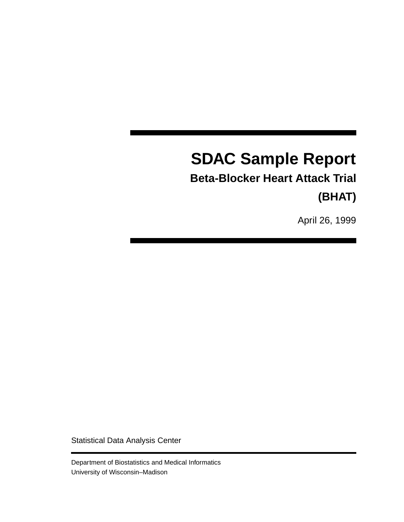# **SDAC Sample Report**

**Beta-Blocker Heart Attack Trial (BHAT)**

April 26, 1999

Statistical Data Analysis Center

Department of Biostatistics and Medical Informatics University of Wisconsin–Madison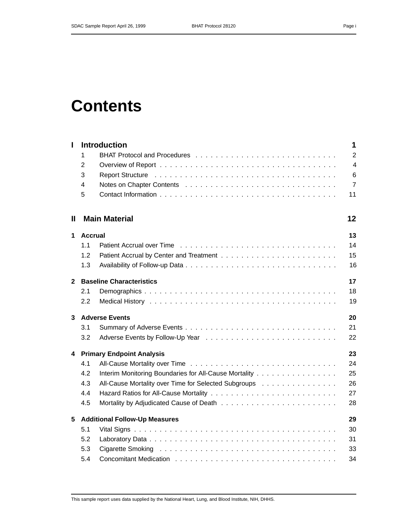# **Contents**

| $\mathbf{I}$   |                | <b>Introduction</b>                                                                                          | 1              |
|----------------|----------------|--------------------------------------------------------------------------------------------------------------|----------------|
|                | 1              |                                                                                                              | $\overline{2}$ |
|                | $\overline{2}$ |                                                                                                              | $\overline{4}$ |
|                | 3              | Report Structure <i>and a server and a server and a server and server and a server and a server a server</i> | 6              |
|                | 4              |                                                                                                              | $\overline{7}$ |
|                | 5              |                                                                                                              | 11             |
| Ш              |                | <b>Main Material</b>                                                                                         | 12             |
| 1              | <b>Accrual</b> |                                                                                                              | 13             |
|                | 1.1            |                                                                                                              | 14             |
|                | 1.2            |                                                                                                              | 15             |
|                | 1.3            |                                                                                                              | 16             |
| $\overline{2}$ |                | <b>Baseline Characteristics</b>                                                                              | 17             |
|                | 2.1            |                                                                                                              | 18             |
|                | 2.2            |                                                                                                              | 19             |
| 3              |                | <b>Adverse Events</b>                                                                                        | 20             |
|                | 3.1            |                                                                                                              | 21             |
|                | 3.2            |                                                                                                              | 22             |
| 4              |                | <b>Primary Endpoint Analysis</b>                                                                             | 23             |
|                | 4.1            |                                                                                                              | 24             |
|                | 4.2            | Interim Monitoring Boundaries for All-Cause Mortality                                                        | 25             |
|                | 4.3            | All-Cause Mortality over Time for Selected Subgroups                                                         | 26             |
|                | 4.4            |                                                                                                              | 27             |
|                | 4.5            |                                                                                                              | 28             |
| 5              |                | <b>Additional Follow-Up Measures</b>                                                                         | 29             |
|                | 5.1            |                                                                                                              | 30             |
|                | 5.2            |                                                                                                              | 31             |
|                | 5.3            |                                                                                                              | 33             |
|                | 5.4            |                                                                                                              | 34             |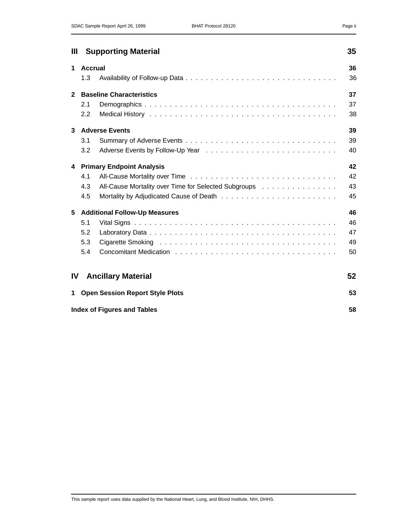| Ш            |                | <b>Supporting Material</b>                                                                                                                                                                                                     | 35 |
|--------------|----------------|--------------------------------------------------------------------------------------------------------------------------------------------------------------------------------------------------------------------------------|----|
| $\mathbf 1$  | <b>Accrual</b> |                                                                                                                                                                                                                                | 36 |
|              | 1.3            |                                                                                                                                                                                                                                | 36 |
| $\mathbf{2}$ |                | <b>Baseline Characteristics</b>                                                                                                                                                                                                | 37 |
|              | 2.1            |                                                                                                                                                                                                                                | 37 |
|              | 2.2            |                                                                                                                                                                                                                                | 38 |
| $\mathbf{3}$ |                | <b>Adverse Events</b>                                                                                                                                                                                                          | 39 |
|              | 3.1            |                                                                                                                                                                                                                                | 39 |
|              | 3.2            |                                                                                                                                                                                                                                | 40 |
|              |                | 4 Primary Endpoint Analysis                                                                                                                                                                                                    | 42 |
|              | 4.1            |                                                                                                                                                                                                                                | 42 |
|              | 4.3            | All-Cause Mortality over Time for Selected Subgroups                                                                                                                                                                           | 43 |
|              | 4.5            |                                                                                                                                                                                                                                | 45 |
| 5            |                | <b>Additional Follow-Up Measures</b>                                                                                                                                                                                           | 46 |
|              | 5.1            |                                                                                                                                                                                                                                | 46 |
|              | 5.2            |                                                                                                                                                                                                                                | 47 |
|              | 5.3            |                                                                                                                                                                                                                                | 49 |
|              | 5.4            | Concomitant Medication enterprise in the contract of the contract of the contract of the contract of the contract of the contract of the contract of the contract of the contract of the contract of the contract of the contr | 50 |
| <b>IV</b>    |                | <b>Ancillary Material</b>                                                                                                                                                                                                      | 52 |
| $\mathbf 1$  |                | <b>Open Session Report Style Plots</b>                                                                                                                                                                                         | 53 |
|              |                | <b>Index of Figures and Tables</b>                                                                                                                                                                                             | 58 |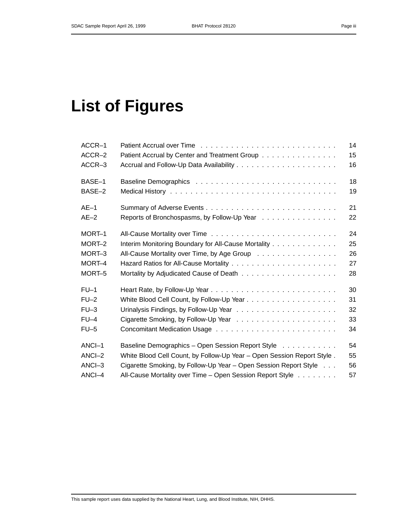# **List of Figures**

| ACCR-1   |                                                                        | 14 |
|----------|------------------------------------------------------------------------|----|
| ACCR-2   | Patient Accrual by Center and Treatment Group                          | 15 |
| ACCR-3   |                                                                        | 16 |
| BASE-1   |                                                                        | 18 |
| BASE-2   |                                                                        | 19 |
| $AE-1$   |                                                                        | 21 |
| $AE-2$   | Reports of Bronchospasms, by Follow-Up Year                            | 22 |
| MORT-1   |                                                                        | 24 |
| MORT-2   | Interim Monitoring Boundary for All-Cause Mortality                    | 25 |
| MORT-3   | All-Cause Mortality over Time, by Age Group                            | 26 |
| MORT-4   |                                                                        | 27 |
| MORT-5   |                                                                        | 28 |
| $FU-1$   |                                                                        | 30 |
| $FU-2$   |                                                                        | 31 |
| $FU-3$   |                                                                        | 32 |
| $FU-4$   |                                                                        | 33 |
| $FU-5$   |                                                                        | 34 |
| ANCI-1   | Baseline Demographics - Open Session Report Style                      | 54 |
| $ANCI-2$ | White Blood Cell Count, by Follow-Up Year - Open Session Report Style. | 55 |
| ANCI-3   | Cigarette Smoking, by Follow-Up Year - Open Session Report Style       | 56 |
| ANCI-4   | All-Cause Mortality over Time - Open Session Report Style              | 57 |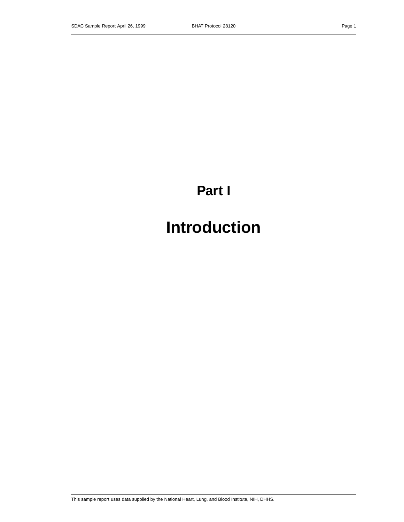# **Part I**

# **Introduction**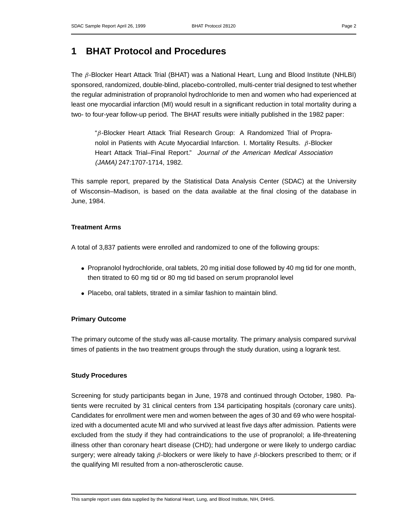### **1 BHAT Protocol and Procedures**

The  $\beta$ -Blocker Heart Attack Trial (BHAT) was a National Heart, Lung and Blood Institute (NHLBI) sponsored, randomized, double-blind, placebo-controlled, multi-center trial designed to test whether the regular administration of propranolol hydrochloride to men and women who had experienced at least one myocardial infarction (MI) would result in a significant reduction in total mortality during a two- to four-year follow-up period. The BHAT results were initially published in the 1982 paper:

"β-Blocker Heart Attack Trial Research Group: A Randomized Trial of Propranolol in Patients with Acute Myocardial Infarction. I. Mortality Results.  $β$ -Blocker Heart Attack Trial–Final Report." Journal of the American Medical Association (JAMA) 247:1707-1714, 1982.

This sample report, prepared by the Statistical Data Analysis Center (SDAC) at the University of Wisconsin–Madison, is based on the data available at the final closing of the database in June, 1984.

### **Treatment Arms**

A total of 3,837 patients were enrolled and randomized to one of the following groups:

- Propranolol hydrochloride, oral tablets, 20 mg initial dose followed by 40 mg tid for one month, then titrated to 60 mg tid or 80 mg tid based on serum propranolol level
- Placebo, oral tablets, titrated in a similar fashion to maintain blind.

### **Primary Outcome**

The primary outcome of the study was all-cause mortality. The primary analysis compared survival times of patients in the two treatment groups through the study duration, using a logrank test.

### **Study Procedures**

Screening for study participants began in June, 1978 and continued through October, 1980. Patients were recruited by 31 clinical centers from 134 participating hospitals (coronary care units). Candidates for enrollment were men and women between the ages of 30 and 69 who were hospitalized with a documented acute MI and who survived at least five days after admission. Patients were excluded from the study if they had contraindications to the use of propranolol; a life-threatening illness other than coronary heart disease (CHD); had undergone or were likely to undergo cardiac surgery; were already taking  $β$ -blockers or were likely to have  $β$ -blockers prescribed to them; or if the qualifying MI resulted from a non-atherosclerotic cause.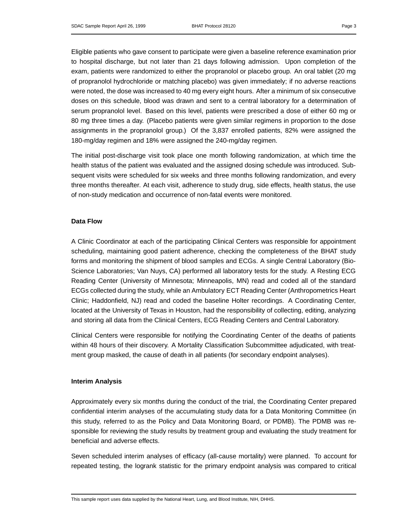Eligible patients who gave consent to participate were given a baseline reference examination prior to hospital discharge, but not later than 21 days following admission. Upon completion of the exam, patients were randomized to either the propranolol or placebo group. An oral tablet (20 mg of propranolol hydrochloride or matching placebo) was given immediately; if no adverse reactions were noted, the dose was increased to 40 mg every eight hours. After a minimum of six consecutive doses on this schedule, blood was drawn and sent to a central laboratory for a determination of serum propranolol level. Based on this level, patients were prescribed a dose of either 60 mg or 80 mg three times a day. (Placebo patients were given similar regimens in proportion to the dose assignments in the propranolol group.) Of the 3,837 enrolled patients, 82% were assigned the 180-mg/day regimen and 18% were assigned the 240-mg/day regimen.

The initial post-discharge visit took place one month following randomization, at which time the health status of the patient was evaluated and the assigned dosing schedule was introduced. Subsequent visits were scheduled for six weeks and three months following randomization, and every three months thereafter. At each visit, adherence to study drug, side effects, health status, the use of non-study medication and occurrence of non-fatal events were monitored.

### **Data Flow**

A Clinic Coordinator at each of the participating Clinical Centers was responsible for appointment scheduling, maintaining good patient adherence, checking the completeness of the BHAT study forms and monitoring the shipment of blood samples and ECGs. A single Central Laboratory (Bio-Science Laboratories; Van Nuys, CA) performed all laboratory tests for the study. A Resting ECG Reading Center (University of Minnesota; Minneapolis, MN) read and coded all of the standard ECGs collected during the study, while an Ambulatory ECT Reading Center (Anthropometrics Heart Clinic; Haddonfield, NJ) read and coded the baseline Holter recordings. A Coordinating Center, located at the University of Texas in Houston, had the responsibility of collecting, editing, analyzing and storing all data from the Clinical Centers, ECG Reading Centers and Central Laboratory.

Clinical Centers were responsible for notifying the Coordinating Center of the deaths of patients within 48 hours of their discovery. A Mortality Classification Subcommittee adjudicated, with treatment group masked, the cause of death in all patients (for secondary endpoint analyses).

### **Interim Analysis**

Approximately every six months during the conduct of the trial, the Coordinating Center prepared confidential interim analyses of the accumulating study data for a Data Monitoring Committee (in this study, referred to as the Policy and Data Monitoring Board, or PDMB). The PDMB was responsible for reviewing the study results by treatment group and evaluating the study treatment for beneficial and adverse effects.

Seven scheduled interim analyses of efficacy (all-cause mortality) were planned. To account for repeated testing, the logrank statistic for the primary endpoint analysis was compared to critical

This sample report uses data supplied by the National Heart, Lung, and Blood Institute, NIH, DHHS.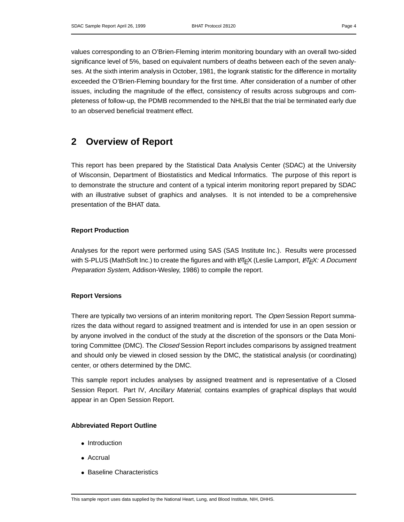values corresponding to an O'Brien-Fleming interim monitoring boundary with an overall two-sided significance level of 5%, based on equivalent numbers of deaths between each of the seven analyses. At the sixth interim analysis in October, 1981, the logrank statistic for the difference in mortality exceeded the O'Brien-Fleming boundary for the first time. After consideration of a number of other issues, including the magnitude of the effect, consistency of results across subgroups and completeness of follow-up, the PDMB recommended to the NHLBI that the trial be terminated early due to an observed beneficial treatment effect.

### **2 Overview of Report**

This report has been prepared by the Statistical Data Analysis Center (SDAC) at the University of Wisconsin, Department of Biostatistics and Medical Informatics. The purpose of this report is to demonstrate the structure and content of a typical interim monitoring report prepared by SDAC with an illustrative subset of graphics and analyses. It is not intended to be a comprehensive presentation of the BHAT data.

### **Report Production**

Analyses for the report were performed using SAS (SAS Institute Inc.). Results were processed with S-PLUS (MathSoft Inc.) to create the figures and with L<sup>AT</sup>EX (Leslie Lamport, *LATEX: A Document* Preparation System, Addison-Wesley, 1986) to compile the report.

### **Report Versions**

There are typically two versions of an interim monitoring report. The *Open* Session Report summarizes the data without regard to assigned treatment and is intended for use in an open session or by anyone involved in the conduct of the study at the discretion of the sponsors or the Data Monitoring Committee (DMC). The *Closed* Session Report includes comparisons by assigned treatment and should only be viewed in closed session by the DMC, the statistical analysis (or coordinating) center, or others determined by the DMC.

This sample report includes analyses by assigned treatment and is representative of a Closed Session Report. Part IV, Ancillary Material, contains examples of graphical displays that would appear in an Open Session Report.

### **Abbreviated Report Outline**

- Introduction
- Accrual
- Baseline Characteristics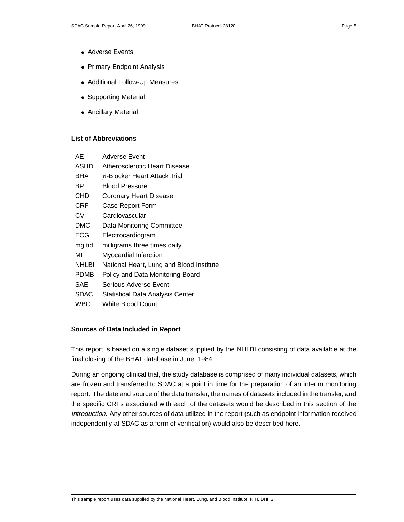- Adverse Events
- Primary Endpoint Analysis
- Additional Follow-Up Measures
- Supporting Material
- Ancillary Material

### **List of Abbreviations**

| AЕ           | Adverse Event                            |
|--------------|------------------------------------------|
| ASHD         | Atherosclerotic Heart Disease            |
| BHAT         | $\beta$ -Blocker Heart Attack Trial      |
| ВP           | <b>Blood Pressure</b>                    |
| CHD          | <b>Coronary Heart Disease</b>            |
| CRF          | Case Report Form                         |
| CV           | Cardiovascular                           |
| DMC          | Data Monitoring Committee                |
| ECG          | Electrocardiogram                        |
| mg tid       | milligrams three times daily             |
| MI           | Myocardial Infarction                    |
| <b>NHLBI</b> | National Heart, Lung and Blood Institute |
| PDMB         | Policy and Data Monitoring Board         |
| SAE          | Serious Adverse Event                    |
| <b>SDAC</b>  | Statistical Data Analysis Center         |
| WBC          | White Blood Count                        |

### **Sources of Data Included in Report**

This report is based on a single dataset supplied by the NHLBI consisting of data available at the final closing of the BHAT database in June, 1984.

During an ongoing clinical trial, the study database is comprised of many individual datasets, which are frozen and transferred to SDAC at a point in time for the preparation of an interim monitoring report. The date and source of the data transfer, the names of datasets included in the transfer, and the specific CRFs associated with each of the datasets would be described in this section of the Introduction. Any other sources of data utilized in the report (such as endpoint information received independently at SDAC as a form of verification) would also be described here.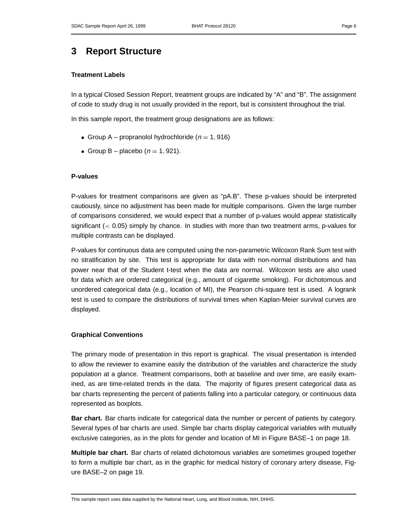## **3 Report Structure**

### **Treatment Labels**

In a typical Closed Session Report, treatment groups are indicated by "A" and "B". The assignment of code to study drug is not usually provided in the report, but is consistent throughout the trial.

In this sample report, the treatment group designations are as follows:

- Group A propranolol hydrochloride ( $n = 1,916$ )
- Group B placebo ( $n = 1, 921$ ).

### **P-values**

P-values for treatment comparisons are given as "pA.B". These p-values should be interpreted cautiously, since no adjustment has been made for multiple comparisons. Given the large number of comparisons considered, we would expect that a number of p-values would appear statistically significant (< 0.05) simply by chance. In studies with more than two treatment arms, p-values for multiple contrasts can be displayed.

P-values for continuous data are computed using the non-parametric Wilcoxon Rank Sum test with no stratification by site. This test is appropriate for data with non-normal distributions and has power near that of the Student t-test when the data are normal. Wilcoxon tests are also used for data which are ordered categorical (e.g., amount of cigarette smoking). For dichotomous and unordered categorical data (e.g., location of MI), the Pearson chi-square test is used. A logrank test is used to compare the distributions of survival times when Kaplan-Meier survival curves are displayed.

### **Graphical Conventions**

The primary mode of presentation in this report is graphical. The visual presentation is intended to allow the reviewer to examine easily the distribution of the variables and characterize the study population at a glance. Treatment comparisons, both at baseline and over time, are easily examined, as are time-related trends in the data. The majority of figures present categorical data as bar charts representing the percent of patients falling into a particular category, or continuous data represented as boxplots.

**Bar chart.** Bar charts indicate for categorical data the number or percent of patients by category. Several types of bar charts are used. Simple bar charts display categorical variables with mutually exclusive categories, as in the plots for gender and location of MI in Figure BASE–1 on page 18.

**Multiple bar chart.** Bar charts of related dichotomous variables are sometimes grouped together to form a multiple bar chart, as in the graphic for medical history of coronary artery disease, Figure BASE–2 on page 19.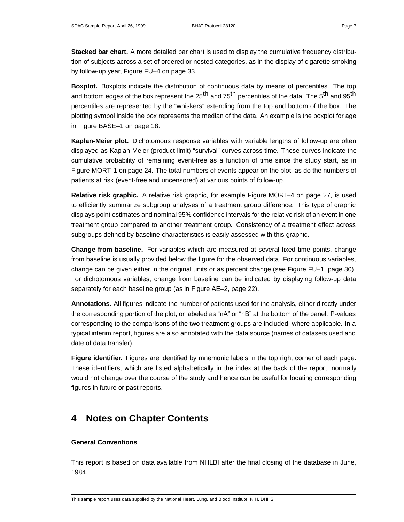**Stacked bar chart.** A more detailed bar chart is used to display the cumulative frequency distribution of subjects across a set of ordered or nested categories, as in the display of cigarette smoking by follow-up year, Figure FU–4 on page 33.

**Boxplot.** Boxplots indicate the distribution of continuous data by means of percentiles. The top and bottom edges of the box represent the 25<sup>th</sup> and 75<sup>th</sup> percentiles of the data. The 5<sup>th</sup> and 95<sup>th</sup> percentiles are represented by the "whiskers" extending from the top and bottom of the box. The plotting symbol inside the box represents the median of the data. An example is the boxplot for age in Figure BASE–1 on page 18.

**Kaplan-Meier plot.** Dichotomous response variables with variable lengths of follow-up are often displayed as Kaplan-Meier (product-limit) "survival" curves across time. These curves indicate the cumulative probability of remaining event-free as a function of time since the study start, as in Figure MORT–1 on page 24. The total numbers of events appear on the plot, as do the numbers of patients at risk (event-free and uncensored) at various points of follow-up.

**Relative risk graphic.** A relative risk graphic, for example Figure MORT–4 on page 27, is used to efficiently summarize subgroup analyses of a treatment group difference. This type of graphic displays point estimates and nominal 95% confidence intervals for the relative risk of an event in one treatment group compared to another treatment group. Consistency of a treatment effect across subgroups defined by baseline characteristics is easily assessed with this graphic.

**Change from baseline.** For variables which are measured at several fixed time points, change from baseline is usually provided below the figure for the observed data. For continuous variables, change can be given either in the original units or as percent change (see Figure FU–1, page 30). For dichotomous variables, change from baseline can be indicated by displaying follow-up data separately for each baseline group (as in Figure AE–2, page 22).

**Annotations.** All figures indicate the number of patients used for the analysis, either directly under the corresponding portion of the plot, or labeled as "nA" or "nB" at the bottom of the panel. P-values corresponding to the comparisons of the two treatment groups are included, where applicable. In a typical interim report, figures are also annotated with the data source (names of datasets used and date of data transfer).

**Figure identifier.** Figures are identified by mnemonic labels in the top right corner of each page. These identifiers, which are listed alphabetically in the index at the back of the report, normally would not change over the course of the study and hence can be useful for locating corresponding figures in future or past reports.

### **4 Notes on Chapter Contents**

### **General Conventions**

This report is based on data available from NHLBI after the final closing of the database in June, 1984.

This sample report uses data supplied by the National Heart, Lung, and Blood Institute, NIH, DHHS.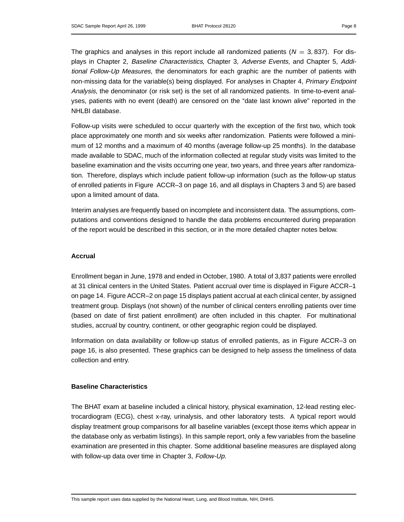The graphics and analyses in this report include all randomized patients  $(N = 3, 837)$ . For displays in Chapter 2, Baseline Characteristics, Chapter 3, Adverse Events, and Chapter 5, Additional Follow-Up Measures, the denominators for each graphic are the number of patients with non-missing data for the variable(s) being displayed. For analyses in Chapter 4, Primary Endpoint Analysis, the denominator (or risk set) is the set of all randomized patients. In time-to-event analyses, patients with no event (death) are censored on the "date last known alive" reported in the NHLBI database.

Follow-up visits were scheduled to occur quarterly with the exception of the first two, which took place approximately one month and six weeks after randomization. Patients were followed a minimum of 12 months and a maximum of 40 months (average follow-up 25 months). In the database made available to SDAC, much of the information collected at regular study visits was limited to the baseline examination and the visits occurring one year, two years, and three years after randomization. Therefore, displays which include patient follow-up information (such as the follow-up status of enrolled patients in Figure ACCR–3 on page 16, and all displays in Chapters 3 and 5) are based upon a limited amount of data.

Interim analyses are frequently based on incomplete and inconsistent data. The assumptions, computations and conventions designed to handle the data problems encountered during preparation of the report would be described in this section, or in the more detailed chapter notes below.

#### **Accrual**

Enrollment began in June, 1978 and ended in October, 1980. A total of 3,837 patients were enrolled at 31 clinical centers in the United States. Patient accrual over time is displayed in Figure ACCR–1 on page 14. Figure ACCR–2 on page 15 displays patient accrual at each clinical center, by assigned treatment group. Displays (not shown) of the number of clinical centers enrolling patients over time (based on date of first patient enrollment) are often included in this chapter. For multinational studies, accrual by country, continent, or other geographic region could be displayed.

Information on data availability or follow-up status of enrolled patients, as in Figure ACCR–3 on page 16, is also presented. These graphics can be designed to help assess the timeliness of data collection and entry.

### **Baseline Characteristics**

The BHAT exam at baseline included a clinical history, physical examination, 12-lead resting electrocardiogram (ECG), chest x-ray, urinalysis, and other laboratory tests. A typical report would display treatment group comparisons for all baseline variables (except those items which appear in the database only as verbatim listings). In this sample report, only a few variables from the baseline examination are presented in this chapter. Some additional baseline measures are displayed along with follow-up data over time in Chapter 3, Follow-Up.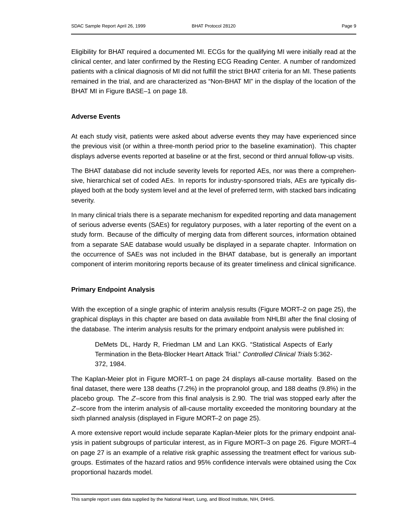Eligibility for BHAT required a documented MI. ECGs for the qualifying MI were initially read at the clinical center, and later confirmed by the Resting ECG Reading Center. A number of randomized patients with a clinical diagnosis of MI did not fulfill the strict BHAT criteria for an MI. These patients remained in the trial, and are characterized as "Non-BHAT MI" in the display of the location of the BHAT MI in Figure BASE–1 on page 18.

### **Adverse Events**

At each study visit, patients were asked about adverse events they may have experienced since the previous visit (or within a three-month period prior to the baseline examination). This chapter displays adverse events reported at baseline or at the first, second or third annual follow-up visits.

The BHAT database did not include severity levels for reported AEs, nor was there a comprehensive, hierarchical set of coded AEs. In reports for industry-sponsored trials, AEs are typically displayed both at the body system level and at the level of preferred term, with stacked bars indicating severity.

In many clinical trials there is a separate mechanism for expedited reporting and data management of serious adverse events (SAEs) for regulatory purposes, with a later reporting of the event on a study form. Because of the difficulty of merging data from different sources, information obtained from a separate SAE database would usually be displayed in a separate chapter. Information on the occurrence of SAEs was not included in the BHAT database, but is generally an important component of interim monitoring reports because of its greater timeliness and clinical significance.

### **Primary Endpoint Analysis**

With the exception of a single graphic of interim analysis results (Figure MORT–2 on page 25), the graphical displays in this chapter are based on data available from NHLBI after the final closing of the database. The interim analysis results for the primary endpoint analysis were published in:

DeMets DL, Hardy R, Friedman LM and Lan KKG. "Statistical Aspects of Early Termination in the Beta-Blocker Heart Attack Trial." Controlled Clinical Trials 5:362- 372, 1984.

The Kaplan-Meier plot in Figure MORT–1 on page 24 displays all-cause mortality. Based on the final dataset, there were 138 deaths (7.2%) in the propranolol group, and 188 deaths (9.8%) in the placebo group. The Z–score from this final analysis is 2.90. The trial was stopped early after the  $Z$ –score from the interim analysis of all-cause mortality exceeded the monitoring boundary at the sixth planned analysis (displayed in Figure MORT–2 on page 25).

A more extensive report would include separate Kaplan-Meier plots for the primary endpoint analysis in patient subgroups of particular interest, as in Figure MORT–3 on page 26. Figure MORT–4 on page 27 is an example of a relative risk graphic assessing the treatment effect for various subgroups. Estimates of the hazard ratios and 95% confidence intervals were obtained using the Cox proportional hazards model.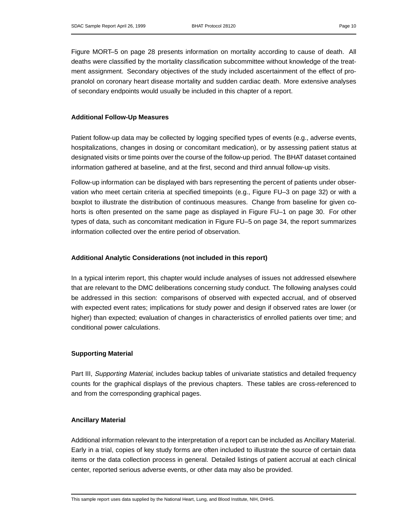Figure MORT–5 on page 28 presents information on mortality according to cause of death. All deaths were classified by the mortality classification subcommittee without knowledge of the treatment assignment. Secondary objectives of the study included ascertainment of the effect of propranolol on coronary heart disease mortality and sudden cardiac death. More extensive analyses of secondary endpoints would usually be included in this chapter of a report.

### **Additional Follow-Up Measures**

Patient follow-up data may be collected by logging specified types of events (e.g., adverse events, hospitalizations, changes in dosing or concomitant medication), or by assessing patient status at designated visits or time points over the course of the follow-up period. The BHAT dataset contained information gathered at baseline, and at the first, second and third annual follow-up visits.

Follow-up information can be displayed with bars representing the percent of patients under observation who meet certain criteria at specified timepoints (e.g., Figure FU–3 on page 32) or with a boxplot to illustrate the distribution of continuous measures. Change from baseline for given cohorts is often presented on the same page as displayed in Figure FU–1 on page 30. For other types of data, such as concomitant medication in Figure FU–5 on page 34, the report summarizes information collected over the entire period of observation.

### **Additional Analytic Considerations (not included in this report)**

In a typical interim report, this chapter would include analyses of issues not addressed elsewhere that are relevant to the DMC deliberations concerning study conduct. The following analyses could be addressed in this section: comparisons of observed with expected accrual, and of observed with expected event rates; implications for study power and design if observed rates are lower (or higher) than expected; evaluation of changes in characteristics of enrolled patients over time; and conditional power calculations.

### **Supporting Material**

Part III, Supporting Material, includes backup tables of univariate statistics and detailed frequency counts for the graphical displays of the previous chapters. These tables are cross-referenced to and from the corresponding graphical pages.

### **Ancillary Material**

Additional information relevant to the interpretation of a report can be included as Ancillary Material. Early in a trial, copies of key study forms are often included to illustrate the source of certain data items or the data collection process in general. Detailed listings of patient accrual at each clinical center, reported serious adverse events, or other data may also be provided.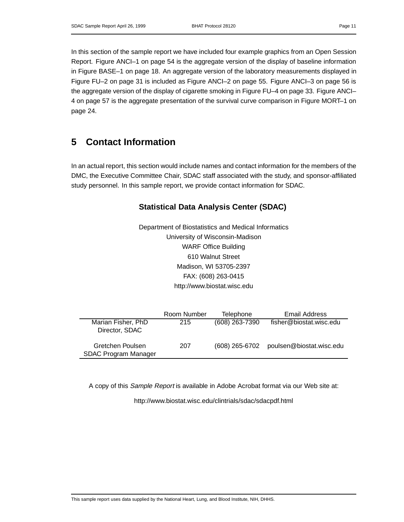In this section of the sample report we have included four example graphics from an Open Session Report. Figure ANCI–1 on page 54 is the aggregate version of the display of baseline information in Figure BASE–1 on page 18. An aggregate version of the laboratory measurements displayed in Figure FU–2 on page 31 is included as Figure ANCI–2 on page 55. Figure ANCI–3 on page 56 is the aggregate version of the display of cigarette smoking in Figure FU–4 on page 33. Figure ANCI– 4 on page 57 is the aggregate presentation of the survival curve comparison in Figure MORT–1 on page 24.

## **5 Contact Information**

In an actual report, this section would include names and contact information for the members of the DMC, the Executive Committee Chair, SDAC staff associated with the study, and sponsor-affiliated study personnel. In this sample report, we provide contact information for SDAC.

### **Statistical Data Analysis Center (SDAC)**

Department of Biostatistics and Medical Informatics University of Wisconsin-Madison WARF Office Building 610 Walnut Street Madison, WI 53705-2397 FAX: (608) 263-0415 http://www.biostat.wisc.edu

|                                          | Room Number | <b>Telephone</b> | Email Address            |
|------------------------------------------|-------------|------------------|--------------------------|
| Marian Fisher, PhD<br>Director, SDAC     | 215         | (608) 263-7390   | fisher@biostat.wisc.edu  |
| Gretchen Poulsen<br>SDAC Program Manager | 207         | $(608)$ 265-6702 | poulsen@biostat.wisc.edu |

A copy of this Sample Report is available in Adobe Acrobat format via our Web site at:

http://www.biostat.wisc.edu/clintrials/sdac/sdacpdf.html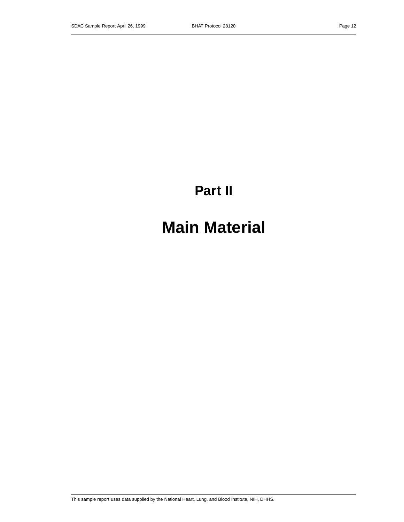# **Part II**

# **Main Material**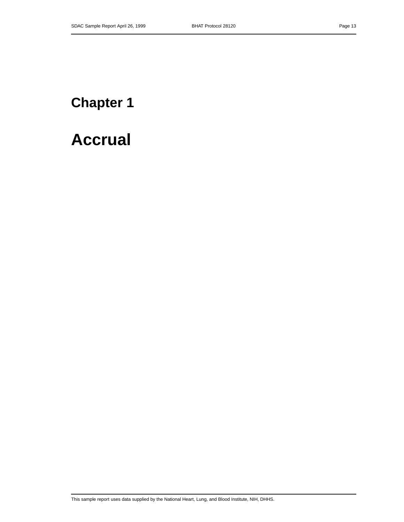# **Chapter 1**

# **Accrual**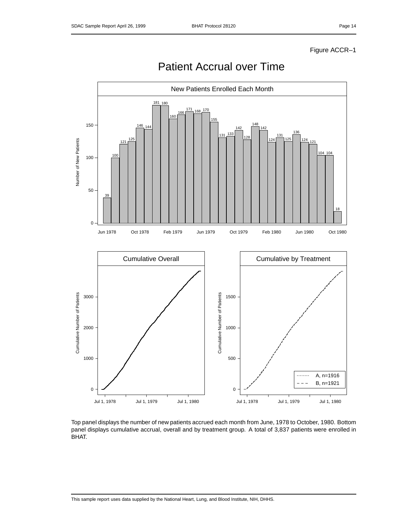

Patient Accrual over Time

Top panel displays the number of new patients accrued each month from June, 1978 to October, 1980. Bottom panel displays cumulative accrual, overall and by treatment group. A total of 3,837 patients were enrolled in BHAT.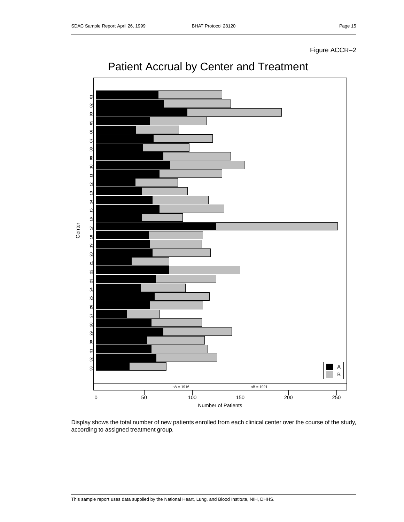Figure ACCR–2



## Patient Accrual by Center and Treatment

Display shows the total number of new patients enrolled from each clinical center over the course of the study, according to assigned treatment group.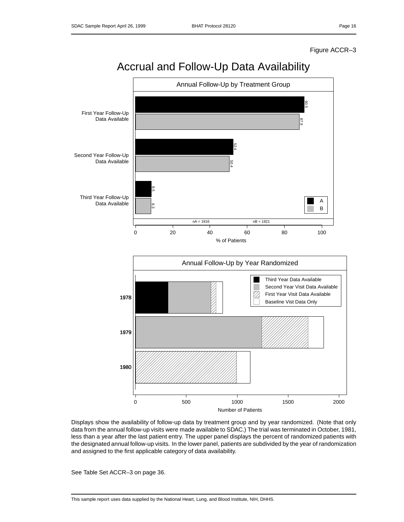### Figure ACCR–3



Displays show the availability of follow-up data by treatment group and by year randomized. (Note that only data from the annual follow-up visits were made available to SDAC.) The trial was terminated in October, 1981, less than a year after the last patient entry. The upper panel displays the percent of randomized patients with the designated annual follow-up visits. In the lower panel, patients are subdivided by the year of randomization and assigned to the first applicable category of data availability.

See Table Set ACCR–3 on page 36.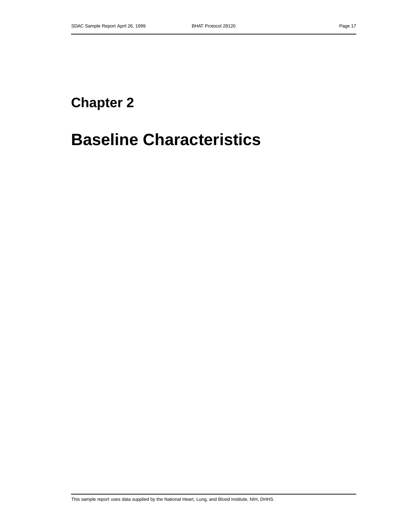# **Chapter 2**

# **Baseline Characteristics**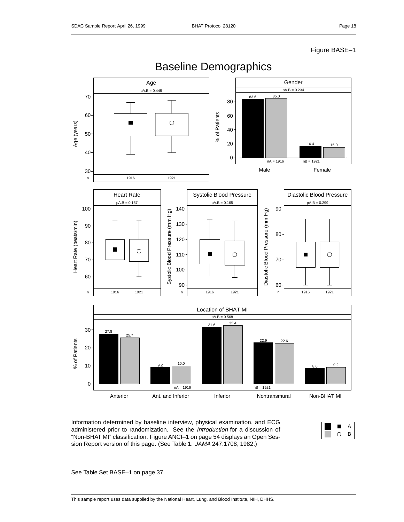### Figure BASE–1



Baseline Demographics

Information determined by baseline interview, physical examination, and ECG administered prior to randomization. See the Introduction for a discussion of "Non-BHAT MI" classification. Figure ANCI–1 on page 54 displays an Open Session Report version of this page. (See Table 1: JAMA 247:1708, 1982.)



See Table Set BASE–1 on page 37.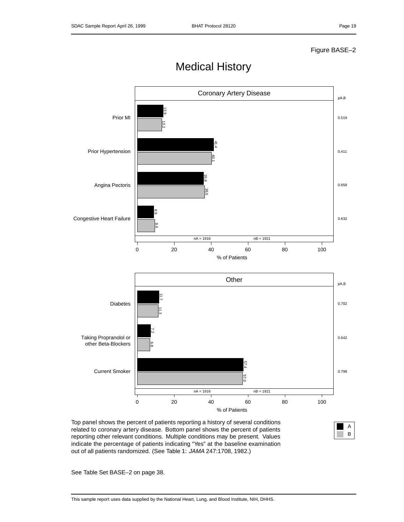### Figure BASE–2



Medical History

Top panel shows the percent of patients reporting a history of several conditions related to coronary artery disease. Bottom panel shows the percent of patients reporting other relevant conditions. Multiple conditions may be present. Values indicate the percentage of patients indicating "Yes" at the baseline examination out of all patients randomized. (See Table 1: JAMA 247:1708, 1982.)



See Table Set BASE–2 on page 38.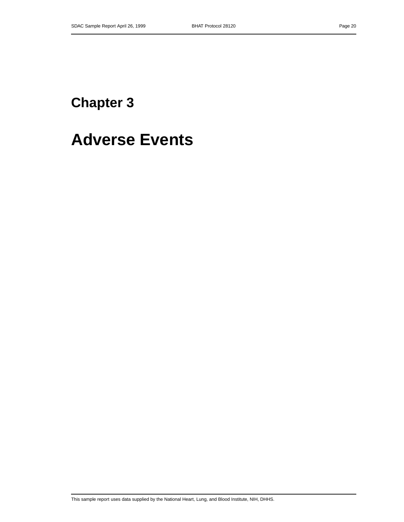# **Chapter 3**

# **Adverse Events**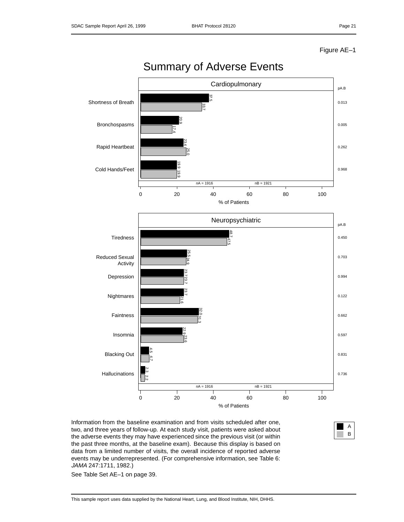Figure AE–1



two, and three years of follow-up. At each study visit, patients were asked about the adverse events they may have experienced since the previous visit (or within the past three months, at the baseline exam). Because this display is based on data from a limited number of visits, the overall incidence of reported adverse events may be underrepresented. (For comprehensive information, see Table 6: JAMA 247:1711, 1982.)

A B

See Table Set AE–1 on page 39.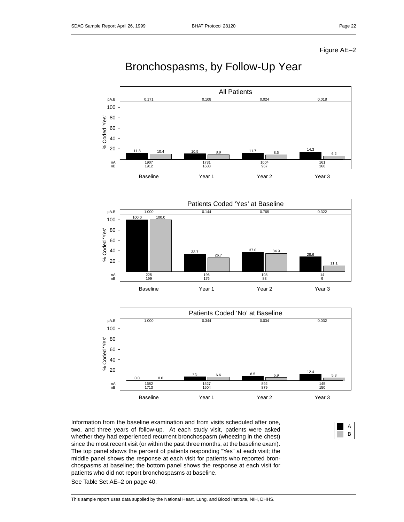Figure AE–2

## Bronchospasms, by Follow-Up Year





Information from the baseline examination and from visits scheduled after one, two, and three years of follow-up. At each study visit, patients were asked whether they had experienced recurrent bronchospasm (wheezing in the chest) since the most recent visit (or within the past three months, at the baseline exam). The top panel shows the percent of patients responding "Yes" at each visit; the middle panel shows the response at each visit for patients who reported bronchospasms at baseline; the bottom panel shows the response at each visit for patients who did not report bronchospasms at baseline.

See Table Set AE–2 on page 40.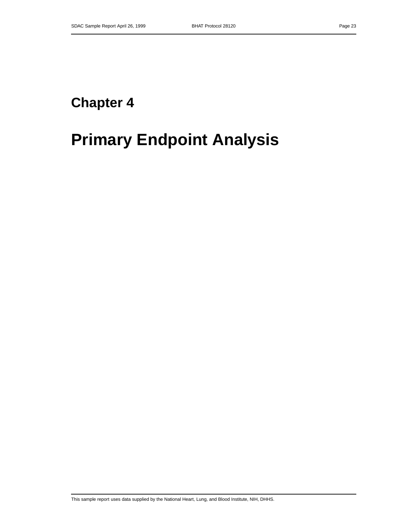# **Chapter 4**

# **Primary Endpoint Analysis**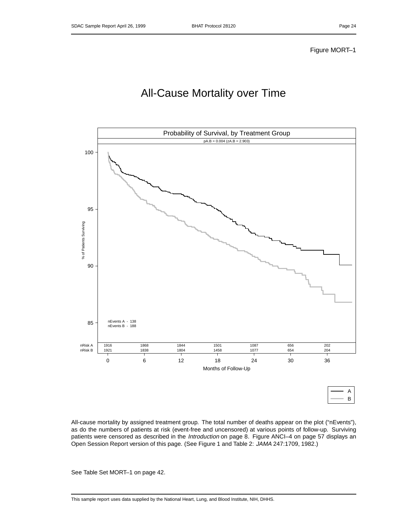## All-Cause Mortality over Time



All-cause mortality by assigned treatment group. The total number of deaths appear on the plot ("nEvents"), as do the numbers of patients at risk (event-free and uncensored) at various points of follow-up. Surviving patients were censored as described in the Introduction on page 8. Figure ANCI-4 on page 57 displays an Open Session Report version of this page. (See Figure 1 and Table 2: JAMA 247:1709, 1982.)

See Table Set MORT–1 on page 42.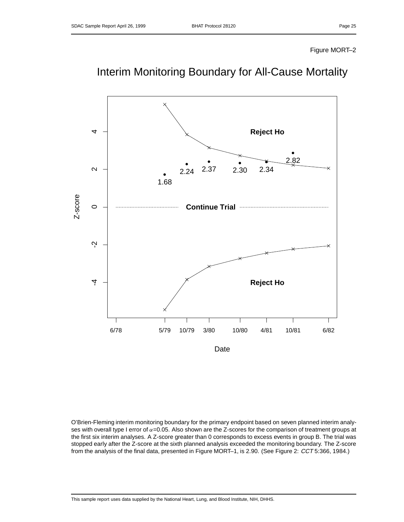### Figure MORT–2



## Interim Monitoring Boundary for All-Cause Mortality

O'Brien-Fleming interim monitoring boundary for the primary endpoint based on seven planned interim analyses with overall type I error of  $\alpha$ =0.05. Also shown are the Z-scores for the comparison of treatment groups at the first six interim analyses. A Z-score greater than 0 corresponds to excess events in group B. The trial was stopped early after the Z-score at the sixth planned analysis exceeded the monitoring boundary. The Z-score from the analysis of the final data, presented in Figure MORT-1, is 2.90. (See Figure 2: CCT 5:366, 1984.)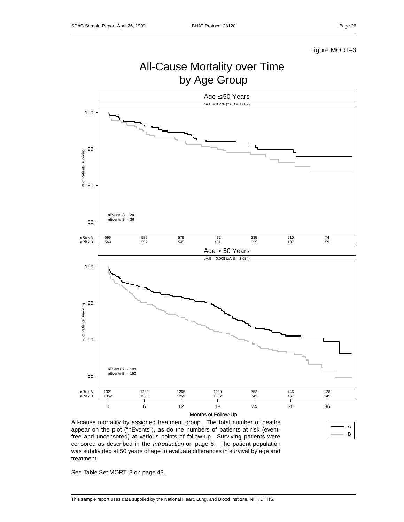A B

### Figure MORT–3

### All-Cause Mortality over Time by Age Group Age ≤ 50 Years  $pA.B = 0.276$  (zA.B = 1.089) 100 95 % of Patients Surviving 90 nEvents A - 29 nEvents B - 36 85 nRisk A 595 585 579 472 335 210 74 nRisk B 569 552 545 451 335 187 59 Age > 50 Years  $pA.B = 0.008 (zA.B = 2.634)$ 100 95 % of Patients Surviving 90 nEvents A - 109 nEvents B - 152 85 nRisk A 1321 1283 1265 1029 752 446 128 nRisk B 1352 1286 1259 1007 742 467 145 Т Т ヿ т ┱ 0 6 12 18 24 30 36 Months of Follow-Up

All-cause mortality by assigned treatment group. The total number of deaths appear on the plot ("nEvents"), as do the numbers of patients at risk (eventfree and uncensored) at various points of follow-up. Surviving patients were censored as described in the Introduction on page 8. The patient population was subdivided at 50 years of age to evaluate differences in survival by age and treatment.

See Table Set MORT–3 on page 43.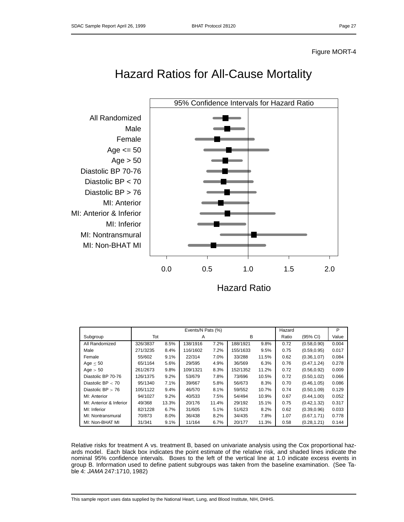## Hazard Ratios for All-Cause Mortality



|                         | Events/N Pats (%) |       |          |       |          |       |       |              | P     |
|-------------------------|-------------------|-------|----------|-------|----------|-------|-------|--------------|-------|
| Subgroup                | Tot               |       | A        |       | в        |       | Ratio | (95% CI)     | Value |
| All Randomized          | 326/3837          | 8.5%  | 138/1916 | 7.2%  | 188/1921 | 9.8%  | 0.72  | (0.58, 0.90) | 0.004 |
| Male                    | 271/3235          | 8.4%  | 116/1602 | 7.2%  | 155/1633 | 9.5%  | 0.75  | (0.59, 0.95) | 0.017 |
| Female                  | 55/602            | 9.1%  | 22/314   | 7.0%  | 33/288   | 11.5% | 0.62  | (0.36, 1.07) | 0.084 |
| Age $< 50$              | 65/1164           | 5.6%  | 29/595   | 4.9%  | 36/569   | 6.3%  | 0.76  | (0.47, 1.24) | 0.278 |
| Age $> 50$              | 261/2673          | 9.8%  | 109/1321 | 8.3%  | 152/1352 | 11.2% | 0.72  | (0.56, 0.92) | 0.009 |
| Diastolic BP 70-76      | 126/1375          | 9.2%  | 53/679   | 7.8%  | 73/696   | 10.5% | 0.72  | (0.50, 1.02) | 0.066 |
| Diastolic BP $<$ 70     | 95/1340           | 7.1%  | 39/667   | 5.8%  | 56/673   | 8.3%  | 0.70  | (0.46, 1.05) | 0.086 |
| Diastolic $BP > 76$     | 105/1122          | 9.4%  | 46/570   | 8.1%  | 59/552   | 10.7% | 0.74  | (0.50, 1.09) | 0.129 |
| MI: Anterior            | 94/1027           | 9.2%  | 40/533   | 7.5%  | 54/494   | 10.9% | 0.67  | (0.44, 1.00) | 0.052 |
| MI: Anterior & Inferior | 49/368            | 13.3% | 20/176   | 11.4% | 29/192   | 15.1% | 0.75  | (0.42, 1.32) | 0.317 |
| MI: Inferior            | 82/1228           | 6.7%  | 31/605   | 5.1%  | 51/623   | 8.2%  | 0.62  | (0.39, 0.96) | 0.033 |
| MI: Nontransmural       | 70/873            | 8.0%  | 36/438   | 8.2%  | 34/435   | 7.8%  | 1.07  | (0.67, 1.71) | 0.778 |
| MI: Non-BHAT MI         | 31/341            | 9.1%  | 11/164   | 6.7%  | 20/177   | 11.3% | 0.58  | (0.28, 1.21) | 0.144 |

Relative risks for treatment A vs. treatment B, based on univariate analysis using the Cox proportional hazards model. Each black box indicates the point estimate of the relative risk, and shaded lines indicate the nominal 95% confidence intervals. Boxes to the left of the vertical line at 1.0 indicate excess events in group B. Information used to define patient subgroups was taken from the baseline examination. (See Table 4: JAMA 247:1710, 1982)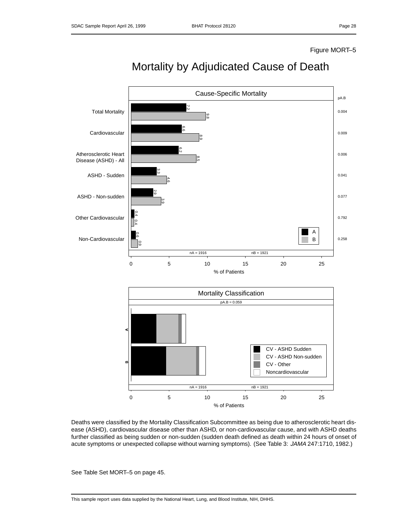### Figure MORT–5



## Mortality by Adjudicated Cause of Death

Deaths were classified by the Mortality Classification Subcommittee as being due to atherosclerotic heart disease (ASHD), cardiovascular disease other than ASHD, or non-cardiovascular cause, and with ASHD deaths further classified as being sudden or non-sudden (sudden death defined as death within 24 hours of onset of acute symptoms or unexpected collapse without warning symptoms). (See Table 3: JAMA 247:1710, 1982.)

See Table Set MORT–5 on page 45.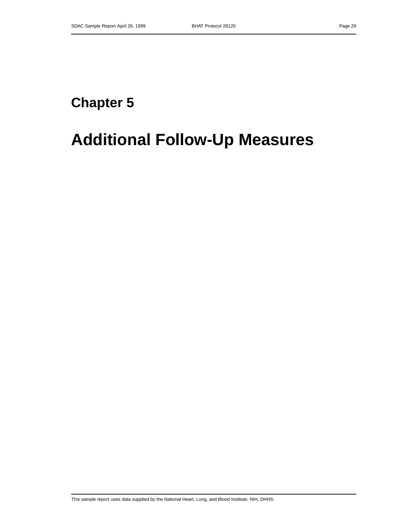# **Chapter 5**

# **Additional Follow-Up Measures**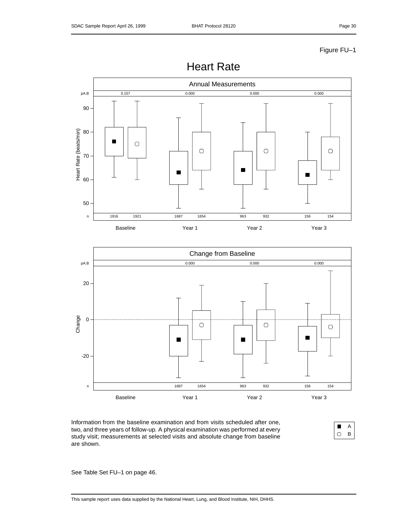





Information from the baseline examination and from visits scheduled after one, two, and three years of follow-up. A physical examination was performed at every study visit; measurements at selected visits and absolute change from baseline are shown.



See Table Set FU–1 on page 46.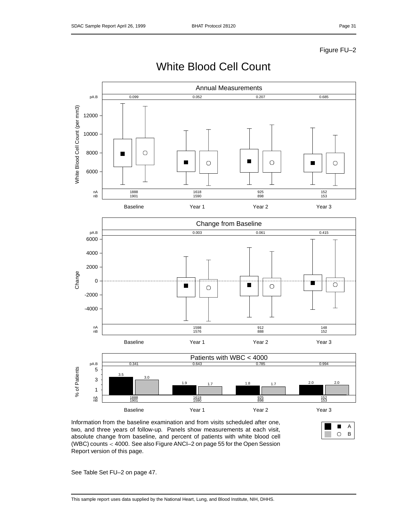

## White Blood Cell Count

Information from the baseline examination and from visits scheduled after one, two, and three years of follow-up. Panels show measurements at each visit, absolute change from baseline, and percent of patients with white blood cell (WBC) counts < 4000. See also Figure ANCI–2 on page 55 for the Open Session Report version of this page.



See Table Set FU–2 on page 47.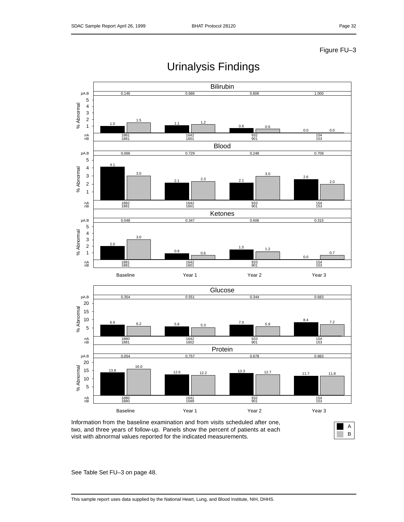

## Urinalysis Findings

Information from the baseline examination and from visits scheduled after one, two, and three years of follow-up. Panels show the percent of patients at each visit with abnormal values reported for the indicated measurements.



See Table Set FU–3 on page 48.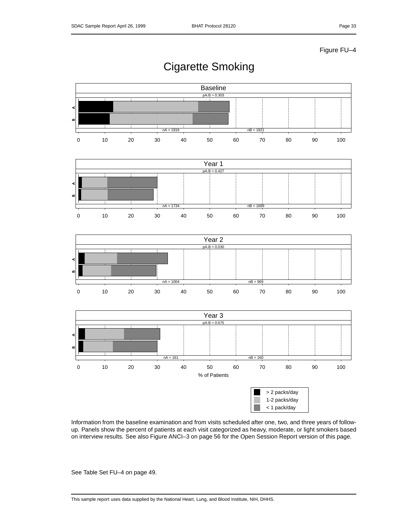## Cigarette Smoking



Information from the baseline examination and from visits scheduled after one, two, and three years of followup. Panels show the percent of patients at each visit categorized as heavy, moderate, or light smokers based on interview results. See also Figure ANCI–3 on page 56 for the Open Session Report version of this page.

See Table Set FU–4 on page 49.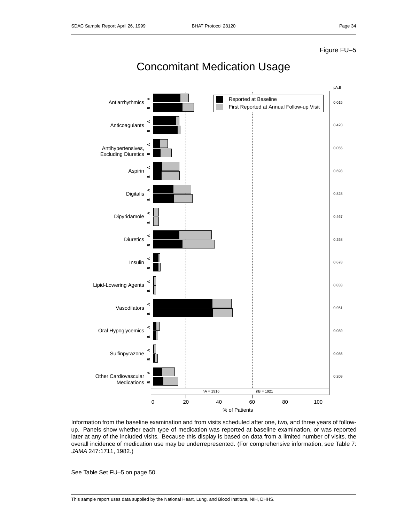

## Concomitant Medication Usage

Information from the baseline examination and from visits scheduled after one, two, and three years of followup. Panels show whether each type of medication was reported at baseline examination, or was reported later at any of the included visits. Because this display is based on data from a limited number of visits, the overall incidence of medication use may be underrepresented. (For comprehensive information, see Table 7: JAMA 247:1711, 1982.)

See Table Set FU–5 on page 50.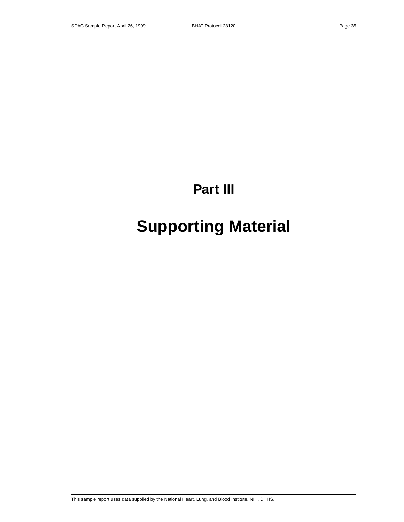# **Part III**

# **Supporting Material**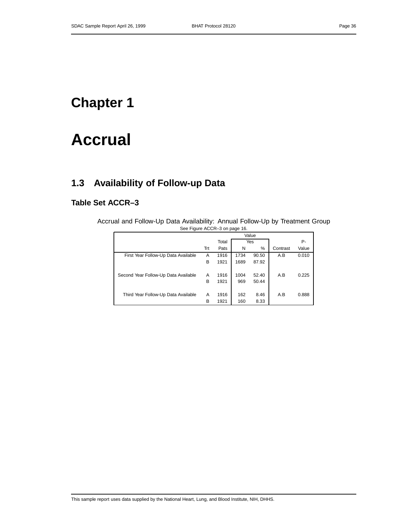## **Chapter 1**

# **Accrual**

## **1.3 Availability of Follow-up Data**

### **Table Set ACCR–3**

Accrual and Follow-Up Data Availability: Annual Follow-Up by Treatment Group See Figure ACCR–3 on page 16.

|                                      |     | Total |      | Yes   |          | Р-    |
|--------------------------------------|-----|-------|------|-------|----------|-------|
|                                      | Trt | Pats  | N    | %     | Contrast | Value |
| First Year Follow-Up Data Available  | A   | 1916  | 1734 | 90.50 | A.B      | 0.010 |
|                                      | в   | 1921  | 1689 | 87.92 |          |       |
|                                      |     |       |      |       |          |       |
| Second Year Follow-Up Data Available | A   | 1916  | 1004 | 52.40 | A.B      | 0.225 |
|                                      | B   | 1921  | 969  | 50.44 |          |       |
|                                      |     |       |      |       |          |       |
| Third Year Follow-Up Data Available  | Α   | 1916  | 162  | 8.46  | A.B      | 0.888 |
|                                      | B   | 1921  | 160  | 8.33  |          |       |
|                                      |     |       |      |       |          |       |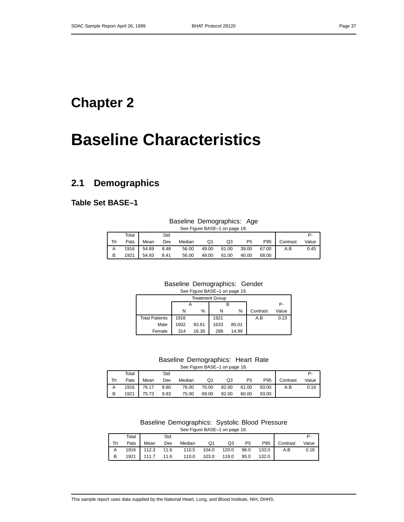## **Chapter 2**

# **Baseline Characteristics**

### **2.1 Demographics**

**Table Set BASE–1**

### Baseline Demographics: Age See Figure BASE–1 on page 18.

| Total |                 | Std  |        |       |             |                |         |          |       |
|-------|-----------------|------|--------|-------|-------------|----------------|---------|----------|-------|
| Pats  | Mean            | Dev  | Median | Q1    | Q3          | P <sub>5</sub> | P95     | Contrast | Value |
|       | 1916 54.69 8.48 |      | 56.00  | 49.00 | 61.00 39.00 |                | 67.00 l | A.B      | 0.45  |
| 1921  | 54.93           | 8.41 | 56.00  | 49.00 | 61.00       | 40.00          | 68.00   |          |       |

### Baseline Demographics: Gender

| See Figure BASE-1 on page 18. |  |
|-------------------------------|--|
| Trootmont Croup               |  |

| <b>Treatment Group</b> |        |       |      |       |          |       |  |  |  |  |
|------------------------|--------|-------|------|-------|----------|-------|--|--|--|--|
|                        |        |       |      |       |          | P-    |  |  |  |  |
|                        | %<br>N |       | N    | $\%$  | Contrast | Value |  |  |  |  |
| <b>Total Patients</b>  | 1916   |       | 1921 |       | A.B      | 0.23  |  |  |  |  |
| Male                   | 1602   | 83.61 | 1633 | 85.01 |          |       |  |  |  |  |
| Female                 | 314    | 16.39 | 288  | 14.99 |          |       |  |  |  |  |

### Baseline Demographics: Heart Rate

See Figure BASE–1 on page 18.

|     | Total             |                 | Std |                                   |             |    |                |       |              |       |
|-----|-------------------|-----------------|-----|-----------------------------------|-------------|----|----------------|-------|--------------|-------|
| Trt |                   | Pats Mean       | Dev | Median                            | Q1          | Q3 | P <sub>5</sub> |       | P95 Contrast | Value |
|     | A 1916 76.17 9.80 |                 |     | 76.00 70.00 82.00 61.00 93.00 A.B |             |    |                |       |              | 0.16  |
| B   |                   | 1921 75.73 9.83 |     | 75.00                             | 69.00 82.00 |    | 60.00          | 93.00 |              |       |

#### Baseline Demographics: Systolic Blood Pressure See Figure BASE–1 on page 18.

|     | Total |                 | Std |                                   |       |       |                |       |              |       |
|-----|-------|-----------------|-----|-----------------------------------|-------|-------|----------------|-------|--------------|-------|
| Trt | Pats  | Mean            | Dev | Median                            | Q1    | Q3    | P <sub>5</sub> |       | P95 Contrast | Value |
|     |       |                 |     | 1916 112.3 11.6 110.5 104.0 120.0 |       |       | 96.0           | 133.0 | A.B          | 0.16  |
| B   |       | 1921 111.7 11.6 |     | 110.0                             | 103.0 | 119.0 | 95.0           | 132.0 |              |       |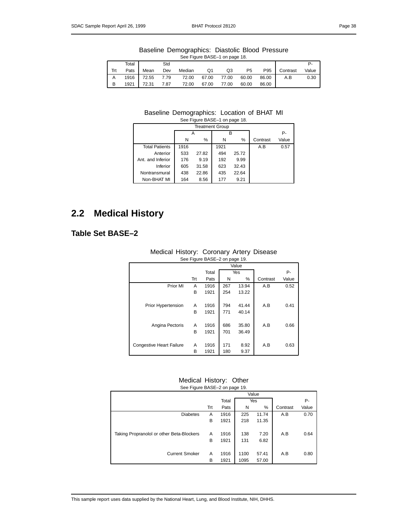|                               | Baseline Demographics: Diastolic Blood Pressure |  |  |  |  |  |  |  |  |  |
|-------------------------------|-------------------------------------------------|--|--|--|--|--|--|--|--|--|
| See Figure BASE-1 on page 18. |                                                 |  |  |  |  |  |  |  |  |  |

| Total |                 | Std  |        |       |             |                |       |              |       |
|-------|-----------------|------|--------|-------|-------------|----------------|-------|--------------|-------|
| Pats  | Mean            | Dev  | Median | Q1    | Q3          | P <sub>5</sub> |       | P95 Contrast | Value |
|       | 1916 72.55 7.79 |      | 72.00  | 67.00 | 77.00 60.00 |                | 86.00 | A.B          | 0.30  |
|       | 1921 72.31      | 7.87 | 72.00  | 67.00 | 77.00       | 60.00          | 86.00 |              |       |

#### Baseline Demographics: Location of BHAT MI See Figure BASE–1 on page 18.

| <b>Treatment Group</b> |      |       |      |       |          |       |  |  |  |  |  |  |  |
|------------------------|------|-------|------|-------|----------|-------|--|--|--|--|--|--|--|
|                        |      | А     |      | R     |          | Р-    |  |  |  |  |  |  |  |
|                        | N    | %     | N    | %     | Contrast | Value |  |  |  |  |  |  |  |
| <b>Total Patients</b>  | 1916 |       | 1921 |       | A.B      | 0.57  |  |  |  |  |  |  |  |
| Anterior               | 533  | 27.82 | 494  | 25.72 |          |       |  |  |  |  |  |  |  |
| Ant. and Inferior      | 176  | 9.19  | 192  | 9.99  |          |       |  |  |  |  |  |  |  |
| Inferior               | 605  | 31.58 | 623  | 32.43 |          |       |  |  |  |  |  |  |  |
| Nontransmural          | 438  | 22.86 | 435  | 22.64 |          |       |  |  |  |  |  |  |  |
| Non-BHAT MI            | 164  | 8.56  | 177  | 9.21  |          |       |  |  |  |  |  |  |  |

### **2.2 Medical History**

### **Table Set BASE–2**

| See Figure BASE-2 on page 19.   |     |       |     |       |          |       |  |  |  |  |  |
|---------------------------------|-----|-------|-----|-------|----------|-------|--|--|--|--|--|
| Value                           |     |       |     |       |          |       |  |  |  |  |  |
|                                 |     | Total | Yes |       |          | Р-    |  |  |  |  |  |
|                                 | Trt | Pats  | N   | $\%$  | Contrast | Value |  |  |  |  |  |
| Prior MI                        | A   | 1916  | 267 | 13.94 | A.B      | 0.52  |  |  |  |  |  |
|                                 | в   | 1921  | 254 | 13.22 |          |       |  |  |  |  |  |
|                                 |     |       |     |       |          |       |  |  |  |  |  |
| Prior Hypertension              | A   | 1916  | 794 | 41.44 | A.B      | 0.41  |  |  |  |  |  |
|                                 | в   | 1921  | 771 | 40.14 |          |       |  |  |  |  |  |
|                                 |     |       |     |       |          |       |  |  |  |  |  |
| Angina Pectoris                 | A   | 1916  | 686 | 35.80 | A.B      | 0.66  |  |  |  |  |  |
|                                 | B   | 1921  | 701 | 36.49 |          |       |  |  |  |  |  |
|                                 |     |       |     |       |          |       |  |  |  |  |  |
| <b>Congestive Heart Failure</b> | A   | 1916  | 171 | 8.92  | A.B      | 0.63  |  |  |  |  |  |
|                                 | в   | 1921  | 180 | 9.37  |          |       |  |  |  |  |  |

## Medical History: Coronary Artery Disease

#### Medical History: Other<br>See Figure BASE 3.20,0000.19  $RASF-2$

| See Figure BASE-2 on page 19.             |     |              |      |       |          |       |
|-------------------------------------------|-----|--------------|------|-------|----------|-------|
|                                           |     |              |      | Value |          |       |
|                                           |     | Total<br>Yes |      |       |          | Р-    |
|                                           | Trt | Pats         | N    | %     | Contrast | Value |
| <b>Diabetes</b>                           | Α   | 1916         | 225  | 11.74 | A.B      | 0.70  |
|                                           | в   | 1921         | 218  | 11.35 |          |       |
| Taking Propranolol or other Beta-Blockers | Α   | 1916         | 138  | 7.20  | A.B      | 0.64  |
|                                           | в   | 1921         | 131  | 6.82  |          |       |
|                                           |     |              |      |       |          |       |
| <b>Current Smoker</b>                     | Α   | 1916         | 1100 | 57.41 | A.B      | 0.80  |
|                                           | B   | 1921         | 1095 | 57.00 |          |       |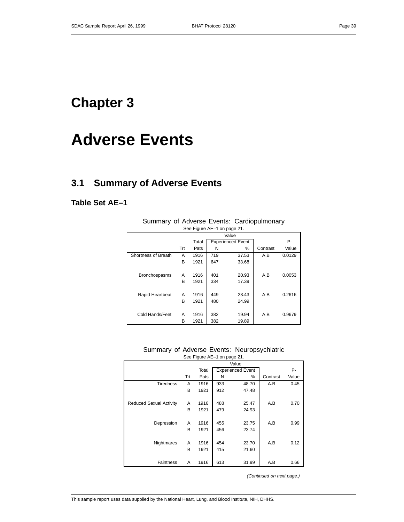## **Chapter 3**

# **Adverse Events**

### **3.1 Summary of Adverse Events**

**Table Set AE–1**

| See Figule AE-T on page 21. |     |       |     |                          |          |        |  |  |  |  |  |  |
|-----------------------------|-----|-------|-----|--------------------------|----------|--------|--|--|--|--|--|--|
|                             |     |       |     | Value                    |          |        |  |  |  |  |  |  |
|                             |     | Total |     | <b>Experienced Event</b> |          | Р-     |  |  |  |  |  |  |
|                             | Trt | Pats  | N   | %                        | Contrast | Value  |  |  |  |  |  |  |
| Shortness of Breath         | Α   | 1916  | 719 | 37.53                    | A.B      | 0.0129 |  |  |  |  |  |  |
|                             | B   | 1921  | 647 | 33.68                    |          |        |  |  |  |  |  |  |
|                             |     |       |     |                          |          |        |  |  |  |  |  |  |
| <b>Bronchospasms</b>        | A   | 1916  | 401 | 20.93                    | A.B      | 0.0053 |  |  |  |  |  |  |
|                             | B   | 1921  | 334 | 17.39                    |          |        |  |  |  |  |  |  |
|                             |     |       |     |                          |          |        |  |  |  |  |  |  |
| Rapid Heartbeat             | A   | 1916  | 449 | 23.43                    | A.B      | 0.2616 |  |  |  |  |  |  |
|                             | B   | 1921  | 480 | 24.99                    |          |        |  |  |  |  |  |  |
|                             |     |       |     |                          |          |        |  |  |  |  |  |  |
| Cold Hands/Feet             | А   | 1916  | 382 | 19.94                    | A.B      | 0.9679 |  |  |  |  |  |  |
|                             | B   | 1921  | 382 | 19.89                    |          |        |  |  |  |  |  |  |

Summary of Adverse Events: Cardiopulmonary See Figure AE-1 on page 21

Summary of Adverse Events: Neuropsychiatric See Figure AE–1 on page 21.

|                                |     |       |     | Value                    |          |       |
|--------------------------------|-----|-------|-----|--------------------------|----------|-------|
|                                |     | Total |     | <b>Experienced Event</b> |          | P-    |
|                                | Trt | Pats  | N   | $\%$                     | Contrast | Value |
| <b>Tiredness</b>               | A   | 1916  | 933 | 48.70                    | A.B      | 0.45  |
|                                | в   | 1921  | 912 | 47.48                    |          |       |
|                                |     |       |     |                          |          |       |
| <b>Reduced Sexual Activity</b> | A   | 1916  | 488 | 25.47                    | A.B      | 0.70  |
|                                | В   | 1921  | 479 | 24.93                    |          |       |
|                                |     |       |     |                          |          |       |
| Depression                     | A   | 1916  | 455 | 23.75                    | A.B      | 0.99  |
|                                | B   | 1921  | 456 | 23.74                    |          |       |
|                                |     |       |     |                          |          |       |
| Nightmares                     | A   | 1916  | 454 | 23.70                    | A.B      | 0.12  |
|                                | В   | 1921  | 415 | 21.60                    |          |       |
|                                |     |       |     |                          |          |       |
| <b>Faintness</b>               | A   | 1916  | 613 | 31.99                    | A.B      | 0.66  |

(Continued on next page.)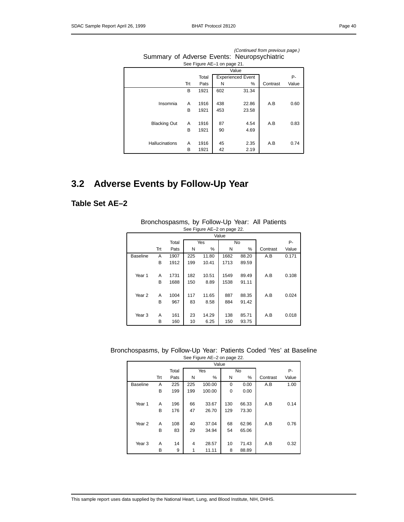| Page r | 40 |
|--------|----|
|--------|----|

| $\frac{1}{2}$         |     |       |                             |                          |          |       |  |  |  |  |  |  |
|-----------------------|-----|-------|-----------------------------|--------------------------|----------|-------|--|--|--|--|--|--|
|                       |     |       | See Figure AE-1 on page 21. |                          |          |       |  |  |  |  |  |  |
|                       |     |       |                             | Value                    |          |       |  |  |  |  |  |  |
|                       |     | Total |                             | <b>Experienced Event</b> |          | Р-    |  |  |  |  |  |  |
|                       | Trt | Pats  | N                           | $\%$                     | Contrast | Value |  |  |  |  |  |  |
|                       | в   | 1921  | 602                         | 31.34                    |          |       |  |  |  |  |  |  |
|                       |     |       |                             |                          |          |       |  |  |  |  |  |  |
| Insomnia              | A   | 1916  | 438                         | 22.86                    | A.B      | 0.60  |  |  |  |  |  |  |
|                       | в   | 1921  | 453                         | 23.58                    |          |       |  |  |  |  |  |  |
|                       |     |       |                             |                          |          |       |  |  |  |  |  |  |
| <b>Blacking Out</b>   | Α   | 1916  | 87                          | 4.54                     | A.B      | 0.83  |  |  |  |  |  |  |
|                       | в   | 1921  | 90                          | 4.69                     |          |       |  |  |  |  |  |  |
|                       |     |       |                             |                          |          |       |  |  |  |  |  |  |
| <b>Hallucinations</b> | Α   | 1916  | 45                          | 2.35                     | A.B      | 0.74  |  |  |  |  |  |  |
|                       | В   | 1921  | 42                          | 2.19                     |          |       |  |  |  |  |  |  |

(Continued from previous page.) Summary of Adverse Events: Neuropsychiatric

## **3.2 Adverse Events by Follow-Up Year**

### **Table Set AE–2**

|                   | See Figure AE-2 on page 22. |       |     |       |      |           |          |       |  |  |  |  |
|-------------------|-----------------------------|-------|-----|-------|------|-----------|----------|-------|--|--|--|--|
|                   | Value                       |       |     |       |      |           |          |       |  |  |  |  |
|                   |                             | Total |     | Yes   |      | <b>No</b> |          | Р-    |  |  |  |  |
|                   | Trt                         | Pats  | N   | %     | N    | %         | Contrast | Value |  |  |  |  |
| <b>Baseline</b>   | A                           | 1907  | 225 | 11.80 | 1682 | 88.20     | A.B      | 0.171 |  |  |  |  |
|                   | B                           | 1912  | 199 | 10.41 | 1713 | 89.59     |          |       |  |  |  |  |
|                   |                             |       |     |       |      |           |          |       |  |  |  |  |
| Year 1            | A                           | 1731  | 182 | 10.51 | 1549 | 89.49     | A.B      | 0.108 |  |  |  |  |
|                   | В                           | 1688  | 150 | 8.89  | 1538 | 91.11     |          |       |  |  |  |  |
|                   |                             |       |     |       |      |           |          |       |  |  |  |  |
| Year <sub>2</sub> | A                           | 1004  | 117 | 11.65 | 887  | 88.35     | A.B      | 0.024 |  |  |  |  |
|                   | В                           | 967   | 83  | 8.58  | 884  | 91.42     |          |       |  |  |  |  |
|                   |                             |       |     |       |      |           |          |       |  |  |  |  |
| Year <sub>3</sub> | A                           | 161   | 23  | 14.29 | 138  | 85.71     | A.B      | 0.018 |  |  |  |  |
|                   | B                           | 160   | 10  | 6.25  | 150  | 93.75     |          |       |  |  |  |  |

Bronchospasms, by Follow-Up Year: All Patients

| Bronchospasms, by Follow-Up Year: Patients Coded 'Yes' at Baseline |  |  |  |  |  |  |  |  |  |  |
|--------------------------------------------------------------------|--|--|--|--|--|--|--|--|--|--|
| See Figure AE-2 on page 22.                                        |  |  |  |  |  |  |  |  |  |  |

|                   |     |       |     | Value  |     |           |          |       |
|-------------------|-----|-------|-----|--------|-----|-----------|----------|-------|
|                   |     | Total |     | Yes    |     | <b>No</b> |          | Р-    |
|                   | Trt | Pats  | N   | %      | N   | %         | Contrast | Value |
| <b>Baseline</b>   | A   | 225   | 225 | 100.00 | 0   | 0.00      | A.B      | 1.00  |
|                   | B   | 199   | 199 | 100.00 | 0   | 0.00      |          |       |
|                   |     |       |     |        |     |           |          |       |
| Year 1            | A   | 196   | 66  | 33.67  | 130 | 66.33     | A.B      | 0.14  |
|                   | B   | 176   | 47  | 26.70  | 129 | 73.30     |          |       |
|                   |     |       |     |        |     |           |          |       |
| Year <sub>2</sub> | A   | 108   | 40  | 37.04  | 68  | 62.96     | A.B      | 0.76  |
|                   | B   | 83    | 29  | 34.94  | 54  | 65.06     |          |       |
|                   |     |       |     |        |     |           |          |       |
| Year <sub>3</sub> | A   | 14    | 4   | 28.57  | 10  | 71.43     | A.B      | 0.32  |
|                   | B   | 9     | 1   | 11.11  | 8   | 88.89     |          |       |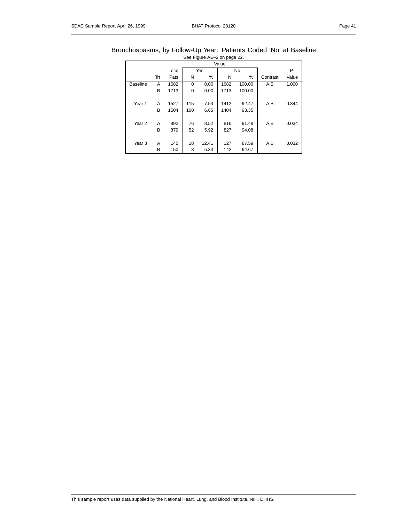| Bronchospasms, by Follow-Up Year: Patients Coded 'No' at Baseline |  |                             |  |  |  |
|-------------------------------------------------------------------|--|-----------------------------|--|--|--|
|                                                                   |  | See Figure AE-2 on page 22. |  |  |  |

|                   |     |       |        |       | Value |        |          |       |
|-------------------|-----|-------|--------|-------|-------|--------|----------|-------|
|                   |     | Total |        | Yes   |       | P-     |          |       |
|                   | Trt | Pats  | %<br>N |       | Ν     | %      | Contrast | Value |
| <b>Baseline</b>   | A   | 1682  | 0      | 0.00  | 1682  | 100.00 | A.B      | 1.000 |
|                   | B   | 1713  | 0      | 0.00  | 1713  | 100.00 |          |       |
|                   |     |       |        |       |       |        |          |       |
| Year 1            | Α   | 1527  | 115    | 7.53  | 1412  | 92.47  | A.B      | 0.344 |
|                   | B   | 1504  | 100    | 6.65  | 1404  | 93.35  |          |       |
|                   |     |       |        |       |       |        |          |       |
| Year <sub>2</sub> | A   | 892   | 76     | 8.52  | 816   | 91.48  | A.B      | 0.034 |
|                   | B   | 879   | 52     | 5.92  | 827   | 94.08  |          |       |
|                   |     |       |        |       |       |        |          |       |
| Year <sub>3</sub> | A   | 145   | 18     | 12.41 | 127   | 87.59  | A.B      | 0.032 |
|                   | B   | 150   | 8      | 5.33  | 142   | 94.67  |          |       |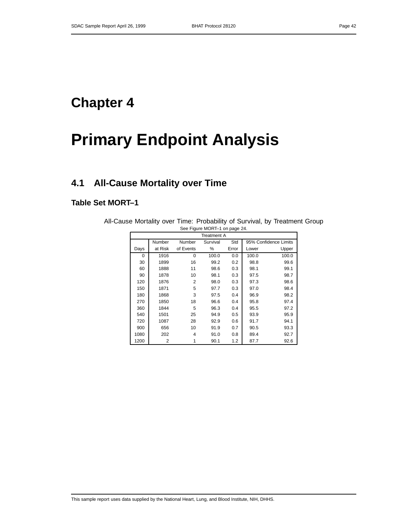## **Chapter 4**

# **Primary Endpoint Analysis**

### **4.1 All-Cause Mortality over Time**

### **Table Set MORT–1**

| See Figure MORT-1 on page 24. |         |           |                    |       |       |                       |  |  |  |  |  |
|-------------------------------|---------|-----------|--------------------|-------|-------|-----------------------|--|--|--|--|--|
|                               |         |           | <b>Treatment A</b> |       |       |                       |  |  |  |  |  |
|                               | Number  | Number    | Survival           | Std   |       | 95% Confidence Limits |  |  |  |  |  |
| Days                          | at Risk | of Events | %                  | Error | Lower | Upper                 |  |  |  |  |  |
| $\Omega$                      | 1916    | $\Omega$  | 100.0              | 0.0   | 100.0 | 100.0                 |  |  |  |  |  |
| 30                            | 1899    | 16        | 99.2               | 0.2   | 98.8  | 99.6                  |  |  |  |  |  |
| 60                            | 1888    | 11        | 98.6               | 0.3   | 98.1  | 99.1                  |  |  |  |  |  |
| 90                            | 1878    | 10        | 98.1               | 0.3   | 97.5  | 98.7                  |  |  |  |  |  |
| 120                           | 1876    | 2         | 98.0               | 0.3   | 97.3  | 98.6                  |  |  |  |  |  |
| 150                           | 1871    | 5         | 97.7               | 0.3   | 97.0  | 98.4                  |  |  |  |  |  |
| 180                           | 1868    | 3         | 97.5               | 0.4   | 96.9  | 98.2                  |  |  |  |  |  |
| 270                           | 1850    | 18        | 96.6               | 0.4   | 95.8  | 97.4                  |  |  |  |  |  |
| 360                           | 1844    | 5         | 96.3               | 0.4   | 95.5  | 97.2                  |  |  |  |  |  |
| 540                           | 1501    | 25        | 94.9               | 0.5   | 93.9  | 95.9                  |  |  |  |  |  |
| 720                           | 1087    | 28        | 92.9               | 0.6   | 91.7  | 94.1                  |  |  |  |  |  |
| 900                           | 656     | 10        | 91.9               | 0.7   | 90.5  | 93.3                  |  |  |  |  |  |
| 1080                          | 202     | 4         | 91.0               | 0.8   | 89.4  | 92.7                  |  |  |  |  |  |
| 1200                          | 2       |           | 90.1               | 1.2   | 87.7  | 92.6                  |  |  |  |  |  |

All-Cause Mortality over Time: Probability of Survival, by Treatment Group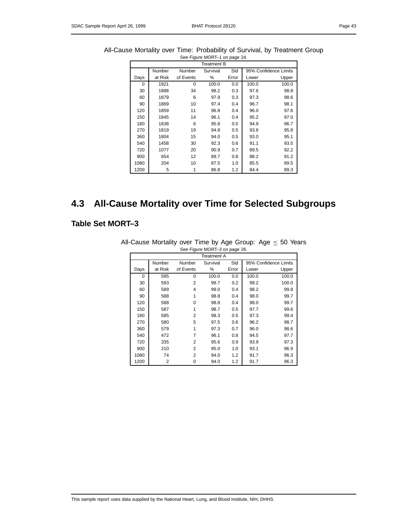|  |      |         |           | Treatment B |       |       |                       |  |
|--|------|---------|-----------|-------------|-------|-------|-----------------------|--|
|  |      | Number  | Number    | Survival    | Std   |       | 95% Confidence Limits |  |
|  | Days | at Risk | of Events | %           | Error | Lower | Upper                 |  |
|  | 0    | 1921    | 0         | 100.0       | 0.0   | 100.0 | 100.0                 |  |
|  | 30   | 1888    | 34        | 98.2        | 0.3   | 97.6  | 98.8                  |  |
|  | 60   | 1879    | 6         | 97.9        | 0.3   | 97.3  | 98.6                  |  |
|  | 90   | 1869    | 10        | 97.4        | 0.4   | 96.7  | 98.1                  |  |
|  | 120  | 1859    | 11        | 96.8        | 0.4   | 96.0  | 97.6                  |  |
|  | 150  | 1845    | 14        | 96.1        | 0.4   | 95.2  | 97.0                  |  |
|  | 180  | 1838    | 6         | 95.8        | 0.5   | 94.9  | 96.7                  |  |
|  | 270  | 1819    | 19        | 94.8        | 0.5   | 93.8  | 95.8                  |  |
|  | 360  | 1804    | 15        | 94.0        | 0.5   | 93.0  | 95.1                  |  |
|  | 540  | 1458    | 30        | 92.3        | 0.6   | 91.1  | 93.5                  |  |
|  | 720  | 1077    | 20        | 90.9        | 0.7   | 89.5  | 92.2                  |  |
|  | 900  | 654     | 12        | 89.7        | 0.8   | 88.2  | 91.2                  |  |
|  | 1080 | 204     | 10        | 87.5        | 1.0   | 85.5  | 89.5                  |  |
|  | 1200 | 5       | 1         | 86.8        | 1.2   | 84.4  | 89.3                  |  |

#### All-Cause Mortality over Time: Probability of Survival, by Treatment Group See Figure MORT–1 on page 24.

### **4.3 All-Cause Mortality over Time for Selected Subgroups**

### **Table Set MORT–3**

|      | See Figure MORT-3 on page 26. |           |             |       |       |                       |  |  |  |  |  |  |
|------|-------------------------------|-----------|-------------|-------|-------|-----------------------|--|--|--|--|--|--|
|      |                               |           | Treatment A |       |       |                       |  |  |  |  |  |  |
|      | Number                        | Number    | Survival    | Std   |       | 95% Confidence Limits |  |  |  |  |  |  |
| Days | at Risk                       | of Events | ℅           | Error | Lower | Upper                 |  |  |  |  |  |  |
| 0    | 595                           | $\Omega$  | 100.0       | 0.0   | 100.0 | 100.0                 |  |  |  |  |  |  |
| 30   | 593                           | 2         | 99.7        | 0.2   | 99.2  | 100.0                 |  |  |  |  |  |  |
| 60   | 589                           | 4         | 99.0        | 0.4   | 98.2  | 99.8                  |  |  |  |  |  |  |
| 90   | 588                           | 1         | 98.8        | 0.4   | 98.0  | 99.7                  |  |  |  |  |  |  |
| 120  | 588                           | $\Omega$  | 98.8        | 0.4   | 98.0  | 99.7                  |  |  |  |  |  |  |
| 150  | 587                           | 1         | 98.7        | 0.5   | 97.7  | 99.6                  |  |  |  |  |  |  |
| 180  | 585                           | 2         | 98.3        | 0.5   | 97.3  | 99.4                  |  |  |  |  |  |  |
| 270  | 580                           | 5         | 97.5        | 0.6   | 96.2  | 98.7                  |  |  |  |  |  |  |
| 360  | 579                           | 1         | 97.3        | 0.7   | 96.0  | 98.6                  |  |  |  |  |  |  |
| 540  | 472                           | 7         | 96.1        | 0.8   | 94.5  | 97.7                  |  |  |  |  |  |  |
| 720  | 335                           | 2         | 95.6        | 0.9   | 93.9  | 97.3                  |  |  |  |  |  |  |
| 900  | 210                           | 2         | 95.0        | 1.0   | 93.1  | 96.9                  |  |  |  |  |  |  |
| 1080 | 74                            | 2         | 94.0        | 1.2   | 91.7  | 96.3                  |  |  |  |  |  |  |
| 1200 | 2                             | 0         | 94.0        | 1.2   | 91.7  | 96.3                  |  |  |  |  |  |  |

All-Cause Mortality over Time by Age Group: Age  $\leq$  50 Years See Figure MORT–3 on page 26.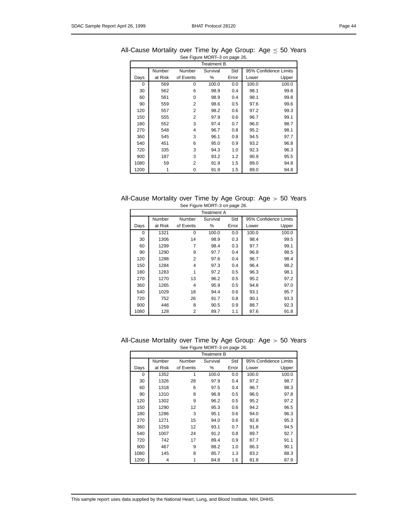|      |         |           | Treatment B |       |       |                       |  |  |  |
|------|---------|-----------|-------------|-------|-------|-----------------------|--|--|--|
|      | Number  | Number    | Survival    | Std   |       | 95% Confidence Limits |  |  |  |
| Days | at Risk | of Events | ℅           | Error | Lower | Upper                 |  |  |  |
| 0    | 569     | 0         | 100.0       | 0.0   | 100.0 | 100.0                 |  |  |  |
| 30   | 562     | 6         | 98.9        | 0.4   | 98.1  | 99.8                  |  |  |  |
| 60   | 561     | $\Omega$  | 98.9        | 0.4   | 98.1  | 99.8                  |  |  |  |
| 90   | 559     | 2         | 98.6        | 0.5   | 97.6  | 99.6                  |  |  |  |
| 120  | 557     | 2         | 98.2        | 0.6   | 97.2  | 99.3                  |  |  |  |
| 150  | 555     | 2         | 97.9        | 0.6   | 96.7  | 99.1                  |  |  |  |
| 180  | 552     | 3         | 97.4        | 0.7   | 96.0  | 98.7                  |  |  |  |
| 270  | 548     | 4         | 96.7        | 0.8   | 95.2  | 98.1                  |  |  |  |
| 360  | 545     | 3         | 96.1        | 0.8   | 94.5  | 97.7                  |  |  |  |
| 540  | 451     | 6         | 95.0        | 0.9   | 93.2  | 96.8                  |  |  |  |
| 720  | 335     | 3         | 94.3        | 1.0   | 92.3  | 96.3                  |  |  |  |
| 900  | 187     | 3         | 93.2        | 1.2   | 90.9  | 95.5                  |  |  |  |
| 1080 | 59      | 2         | 91.9        | 1.5   | 89.0  | 94.8                  |  |  |  |
| 1200 | 1       | 0         | 91.9        | 1.5   | 89.0  | 94.8                  |  |  |  |

All-Cause Mortality over Time by Age Group: Age  $\leq$  50 Years See Figure MORT–3 on page 26.

| All-Cause Mortality over Time by Age Group: Age $> 50$ Years |  |                               |  |  |  |  |
|--------------------------------------------------------------|--|-------------------------------|--|--|--|--|
|                                                              |  | See Figure MORT-3 on page 26. |  |  |  |  |

|      | <b>Treatment A</b> |                           |       |       |       |                       |  |  |  |  |
|------|--------------------|---------------------------|-------|-------|-------|-----------------------|--|--|--|--|
|      | Number             | Std<br>Survival<br>Number |       |       |       | 95% Confidence Limits |  |  |  |  |
| Days | at Risk            | of Events                 | %     | Error | Lower | Upper                 |  |  |  |  |
| 0    | 1321               | $\Omega$                  | 100.0 | 0.0   | 100.0 | 100.0                 |  |  |  |  |
| 30   | 1306               | 14                        | 98.9  | 0.3   | 98.4  | 99.5                  |  |  |  |  |
| 60   | 1299               | 7                         | 98.4  | 0.3   | 97.7  | 99.1                  |  |  |  |  |
| 90   | 1290               | 9                         | 97.7  | 0.4   | 96.9  | 98.5                  |  |  |  |  |
| 120  | 1288               | $\overline{2}$            | 97.6  | 0.4   | 96.7  | 98.4                  |  |  |  |  |
| 150  | 1284               | 4                         | 97.3  | 0.4   | 96.4  | 98.2                  |  |  |  |  |
| 180  | 1283               | 1                         | 97.2  | 0.5   | 96.3  | 98.1                  |  |  |  |  |
| 270  | 1270               | 13                        | 96.2  | 0.5   | 95.2  | 97.2                  |  |  |  |  |
| 360  | 1265               | 4                         | 95.9  | 0.5   | 94.8  | 97.0                  |  |  |  |  |
| 540  | 1029               | 18                        | 94.4  | 0.6   | 93.1  | 95.7                  |  |  |  |  |
| 720  | 752                | 26                        | 91.7  | 0.8   | 90.1  | 93.3                  |  |  |  |  |
| 900  | 446                | 8                         | 90.5  | 0.9   | 88.7  | 92.3                  |  |  |  |  |
| 1080 | 128                | 2                         | 89.7  | 1.1   | 87.6  | 91.8                  |  |  |  |  |

All-Cause Mortality over Time by Age Group: Age > 50 Years See Figure MORT–3 on page 26.

|      | Treatment B |           |          |       |                       |       |  |  |  |  |  |
|------|-------------|-----------|----------|-------|-----------------------|-------|--|--|--|--|--|
|      | Number      | Number    | Survival | Std   | 95% Confidence Limits |       |  |  |  |  |  |
| Days | at Risk     | of Events | %        | Error | Lower                 | Upper |  |  |  |  |  |
| 0    | 1352        | 1         | 100.0    | 0.0   | 100.0                 | 100.0 |  |  |  |  |  |
| 30   | 1326        | 28        | 97.9     | 0.4   | 97.2                  | 98.7  |  |  |  |  |  |
| 60   | 1318        | 6         | 97.5     | 0.4   | 96.7                  | 98.3  |  |  |  |  |  |
| 90   | 1310        | 8         | 96.9     | 0.5   | 96.0                  | 97.8  |  |  |  |  |  |
| 120  | 1302        | 9         | 96.2     | 0.5   | 95.2                  | 97.2  |  |  |  |  |  |
| 150  | 1290        | 12        | 95.3     | 0.6   | 94.2                  | 96.5  |  |  |  |  |  |
| 180  | 1286        | 3         | 95.1     | 0.6   | 94.0                  | 96.3  |  |  |  |  |  |
| 270  | 1271        | 15        | 94.0     | 0.6   | 92.8                  | 95.3  |  |  |  |  |  |
| 360  | 1259        | 12        | 93.1     | 0.7   | 91.8                  | 94.5  |  |  |  |  |  |
| 540  | 1007        | 24        | 91.2     | 0.8   | 89.7                  | 92.7  |  |  |  |  |  |
| 720  | 742         | 17        | 89.4     | 0.9   | 87.7                  | 91.1  |  |  |  |  |  |
| 900  | 467         | 9         | 88.2     | 1.0   | 86.3                  | 90.1  |  |  |  |  |  |
| 1080 | 145         | 8         | 85.7     | 1.3   | 83.2                  | 88.3  |  |  |  |  |  |
| 1200 | 4           | 1         | 84.8     | 1.6   | 81.8                  | 87.9  |  |  |  |  |  |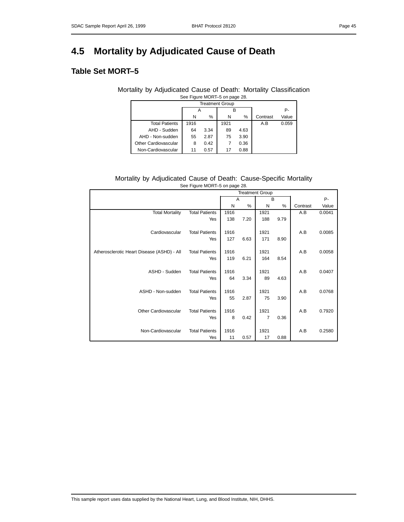## **4.5 Mortality by Adjudicated Cause of Death**

### **Table Set MORT–5**

#### Mortality by Adjudicated Cause of Death: Mortality Classification See Figure MORT–5 on page 28.

| <b>Treatment Group</b> |      |      |      |      |          |       |  |  |  |  |  |
|------------------------|------|------|------|------|----------|-------|--|--|--|--|--|
|                        |      |      |      |      |          | Р-    |  |  |  |  |  |
|                        | N    | %    | N    | %    | Contrast | Value |  |  |  |  |  |
| <b>Total Patients</b>  | 1916 |      | 1921 |      | A.B      | 0.059 |  |  |  |  |  |
| AHD - Sudden           | 64   | 3.34 | 89   | 4.63 |          |       |  |  |  |  |  |
| AHD - Non-sudden       | 55   | 2.87 | 75   | 3.90 |          |       |  |  |  |  |  |
| Other Cardiovascular   | 8    | 0.42 |      | 0.36 |          |       |  |  |  |  |  |
| Non-Cardiovascular     | 11   | 0.57 | 17   | 0.88 |          |       |  |  |  |  |  |

#### Mortality by Adjudicated Cause of Death: Cause-Specific Mortality See Figure MORT–5 on page 28.

|                                            |                       |      | <b>Treatment Group</b> |                |      |          |        |
|--------------------------------------------|-----------------------|------|------------------------|----------------|------|----------|--------|
|                                            |                       | A    |                        | B              |      |          | P-     |
|                                            |                       | N    | $\%$                   | N              | %    | Contrast | Value  |
| <b>Total Mortality</b>                     | <b>Total Patients</b> | 1916 |                        | 1921           |      | A.B      | 0.0041 |
|                                            | Yes                   | 138  | 7.20                   | 188            | 9.79 |          |        |
|                                            |                       |      |                        |                |      |          |        |
| Cardiovascular                             | <b>Total Patients</b> | 1916 |                        | 1921           |      | A.B      | 0.0085 |
|                                            | Yes                   | 127  | 6.63                   | 171            | 8.90 |          |        |
|                                            |                       |      |                        |                |      |          |        |
| Atherosclerotic Heart Disease (ASHD) - All | <b>Total Patients</b> | 1916 |                        | 1921           |      | A.B      | 0.0058 |
|                                            | Yes                   | 119  | 6.21                   | 164            | 8.54 |          |        |
|                                            |                       |      |                        |                |      |          |        |
| ASHD - Sudden                              | <b>Total Patients</b> | 1916 |                        | 1921           |      | A.B      | 0.0407 |
|                                            | Yes                   | 64   | 3.34                   | 89             | 4.63 |          |        |
|                                            |                       |      |                        |                |      |          |        |
| ASHD - Non-sudden                          | <b>Total Patients</b> | 1916 |                        | 1921           |      | A.B      | 0.0768 |
|                                            | Yes                   | 55   | 2.87                   | 75             | 3.90 |          |        |
|                                            |                       |      |                        |                |      |          |        |
| Other Cardiovascular                       | <b>Total Patients</b> | 1916 |                        | 1921           |      | A.B      | 0.7920 |
|                                            | Yes                   | 8    | 0.42                   | $\overline{7}$ | 0.36 |          |        |
|                                            |                       |      |                        |                |      |          |        |
| Non-Cardiovascular                         | <b>Total Patients</b> | 1916 |                        | 1921           |      | A.B      | 0.2580 |
|                                            | Yes                   | 11   | 0.57                   | 17             | 0.88 |          |        |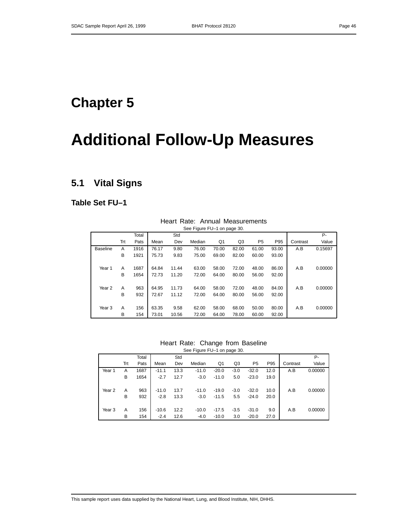## **Chapter 5**

# **Additional Follow-Up Measures**

### **5.1 Vital Signs**

**Table Set FU–1**

|                   |     |       |       |       | $\frac{1}{2}$ . Iguit i $\frac{1}{2}$ i on page 50. |       |       |                |       |          |         |
|-------------------|-----|-------|-------|-------|-----------------------------------------------------|-------|-------|----------------|-------|----------|---------|
|                   |     | Total |       | Std   |                                                     |       |       |                |       |          | Р-      |
|                   | Trt | Pats  | Mean  | Dev   | Median                                              | Q1    | Q3    | P <sub>5</sub> | P95   | Contrast | Value   |
| <b>Baseline</b>   | A   | 1916  | 76.17 | 9.80  | 76.00                                               | 70.00 | 82.00 | 61.00          | 93.00 | A.B      | 0.15697 |
|                   | В   | 1921  | 75.73 | 9.83  | 75.00                                               | 69.00 | 82.00 | 60.00          | 93.00 |          |         |
|                   |     |       |       |       |                                                     |       |       |                |       |          |         |
| Year 1            | A   | 1687  | 64.84 | 11.44 | 63.00                                               | 58.00 | 72.00 | 48.00          | 86.00 | A.B      | 0.00000 |
|                   | B   | 1654  | 72.73 | 11.20 | 72.00                                               | 64.00 | 80.00 | 56.00          | 92.00 |          |         |
|                   |     |       |       |       |                                                     |       |       |                |       |          |         |
| Year 2            | A   | 963   | 64.95 | 11.73 | 64.00                                               | 58.00 | 72.00 | 48.00          | 84.00 | A.B      | 0.00000 |
|                   | В   | 932   | 72.67 | 11.12 | 72.00                                               | 64.00 | 80.00 | 56.00          | 92.00 |          |         |
|                   |     |       |       |       |                                                     |       |       |                |       |          |         |
| Year <sub>3</sub> | A   | 156   | 63.35 | 9.58  | 62.00                                               | 58.00 | 68.00 | 50.00          | 80.00 | A.B      | 0.00000 |
|                   | В   | 154   | 73.01 | 10.56 | 72.00                                               | 64.00 | 78.00 | 60.00          | 92.00 |          |         |

### Heart Rate: Annual Measurements See Figure FU–1 on page 30.

Heart Rate: Change from Baseline See Figure FU-1 on page 30.

|                   |     |       |         |      | $\frac{1}{2}$ |         |        |                |      |          |         |
|-------------------|-----|-------|---------|------|---------------|---------|--------|----------------|------|----------|---------|
|                   |     | Total |         | Std  |               |         |        |                |      |          | Р-      |
|                   | Trt | Pats  | Mean    | Dev  | Median        | Q1      | Q3     | P <sub>5</sub> | P95  | Contrast | Value   |
| Year 1            | А   | 1687  | $-11.1$ | 13.3 | $-11.0$       | $-20.0$ | $-3.0$ | $-32.0$        | 12.0 | A.B      | 0.00000 |
|                   | в   | 1654  | $-2.7$  | 12.7 | $-3.0$        | $-11.0$ | 5.0    | $-23.0$        | 19.0 |          |         |
| Year <sub>2</sub> | А   | 963   | $-11.0$ | 13.7 | $-11.0$       | $-19.0$ | $-3.0$ | $-32.0$        | 10.0 | A.B      | 0.00000 |
|                   | B   | 932   | $-2.8$  | 13.3 | $-3.0$        | $-11.5$ | 5.5    | $-24.0$        | 20.0 |          |         |
|                   |     |       |         |      |               |         |        |                |      |          |         |
| Year <sub>3</sub> | А   | 156   | $-10.6$ | 12.2 | $-10.0$       | $-17.5$ | $-3.5$ | $-31.0$        | 9.0  | A.B      | 0.00000 |
|                   | в   | 154   | $-2.4$  | 12.6 | $-4.0$        | $-10.0$ | 3.0    | $-20.0$        | 27.0 |          |         |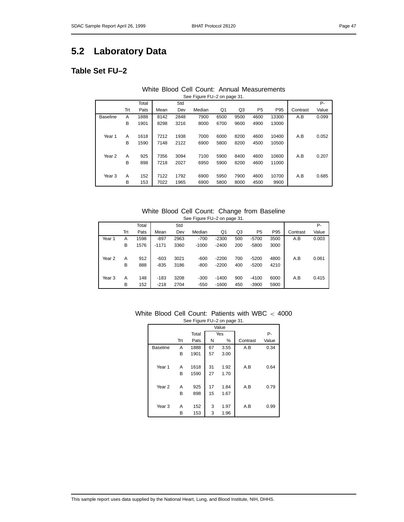### **5.2 Laboratory Data**

### **Table Set FU–2**

### White Blood Cell Count: Annual Measurements See Figure FU–2 on page 31.

|                   |     | Total |      | Std  |        |      |      |                |       |          | P-    |
|-------------------|-----|-------|------|------|--------|------|------|----------------|-------|----------|-------|
|                   | Trt | Pats  | Mean | Dev  | Median | Q1   | Q3   | P <sub>5</sub> | P95   | Contrast | Value |
| <b>Baseline</b>   | A   | 1888  | 8142 | 2848 | 7900   | 6500 | 9500 | 4600           | 13300 | A.B      | 0.099 |
|                   | B   | 1901  | 8298 | 3216 | 8000   | 6700 | 9600 | 4900           | 13000 |          |       |
|                   |     |       |      |      |        |      |      |                |       |          |       |
| Year 1            | A   | 1618  | 7212 | 1938 | 7000   | 6000 | 8200 | 4600           | 10400 | A.B      | 0.052 |
|                   | в   | 1590  | 7148 | 2122 | 6900   | 5800 | 8200 | 4500           | 10500 |          |       |
|                   |     |       |      |      |        |      |      |                |       |          |       |
| Year <sub>2</sub> | A   | 925   | 7356 | 3094 | 7100   | 5900 | 8400 | 4600           | 10600 | A.B      | 0.207 |
|                   | B   | 898   | 7218 | 2027 | 6950   | 5900 | 8200 | 4600           | 11000 |          |       |
|                   |     |       |      |      |        |      |      |                |       |          |       |
| Year <sub>3</sub> | A   | 152   | 7122 | 1792 | 6900   | 5950 | 7900 | 4600           | 10700 | A.B      | 0.685 |
|                   | В   | 153   | 7022 | 1965 | 6900   | 5800 | 8000 | 4500           | 9900  |          |       |

#### White Blood Cell Count: Change from Baseline See Figure FU–2 on page 31.

|                   |     | Total |         | Std  |         |         |     |                |      |          | Р-    |
|-------------------|-----|-------|---------|------|---------|---------|-----|----------------|------|----------|-------|
|                   | Trt | Pats  | Mean    | Dev  | Median  | Q1      | Q3  | P <sub>5</sub> | P95  | Contrast | Value |
| Year 1            | Α   | 1598  | $-897$  | 2963 | $-700$  | $-2300$ | 500 | $-5700$        | 3500 | A.B      | 0.003 |
|                   | в   | 1576  | $-1171$ | 3360 | $-1000$ | $-2400$ | 200 | $-5800$        | 3000 |          |       |
|                   |     |       |         |      |         |         |     |                |      |          |       |
| Year <sub>2</sub> | A   | 912   | $-603$  | 3021 | $-600$  | $-2200$ | 700 | $-5200$        | 4800 | A.B      | 0.061 |
|                   | в   | 888   | $-835$  | 3186 | $-800$  | $-2200$ | 400 | $-5200$        | 4210 |          |       |
|                   |     |       |         |      |         |         |     |                |      |          |       |
| Year <sub>3</sub> | A   | 148   | $-183$  | 3208 | $-300$  | $-1400$ | 900 | $-4100$        | 6000 | A.B      | 0.415 |
|                   | в   | 152   | $-218$  | 2704 | $-550$  | $-1600$ | 450 | $-3900$        | 5900 |          |       |

#### White Blood Cell Count: Patients with WBC < 4000 See Figure FU–2 on page 31.

|                   |     |       | Value |      |          |       |
|-------------------|-----|-------|-------|------|----------|-------|
|                   |     | Total |       | Yes  |          | P-    |
|                   | Trt | Pats  | N     | %    | Contrast | Value |
| <b>Baseline</b>   | A   | 1888  | 67    | 3.55 | A.B      | 0.34  |
|                   | B   | 1901  | 57    | 3.00 |          |       |
|                   |     |       |       |      |          |       |
| Year 1            | A   | 1618  | 31    | 1.92 | A.B      | 0.64  |
|                   | В   | 1590  | 27    | 1.70 |          |       |
|                   |     |       |       |      |          |       |
| Year <sub>2</sub> | Α   | 925   | 17    | 1.84 | A.B      | 0.79  |
|                   | B   | 898   | 15    | 1.67 |          |       |
|                   |     |       |       |      |          |       |
| Year <sub>3</sub> | Α   | 152   | 3     | 1.97 | A.B      | 0.99  |
|                   | В   | 153   | 3     | 1.96 |          |       |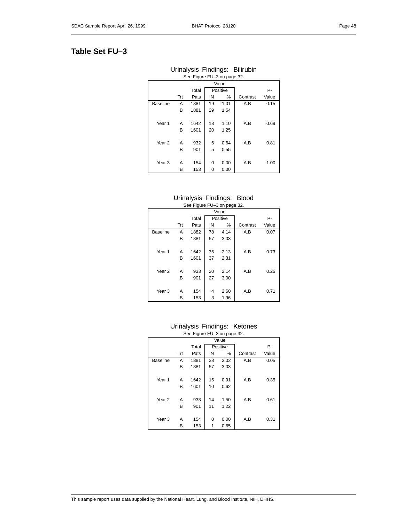### **Table Set FU–3**

| Urinalysis Findings: Bilirubin |                             |  |
|--------------------------------|-----------------------------|--|
|                                | See Figure FU-3 on page 32. |  |

|                   | Value |       |    |          |          |       |  |  |  |  |
|-------------------|-------|-------|----|----------|----------|-------|--|--|--|--|
|                   |       |       |    |          |          |       |  |  |  |  |
|                   |       | Total |    | Positive |          | Р-    |  |  |  |  |
|                   | Trt   | Pats  | Ν  | $\%$     | Contrast | Value |  |  |  |  |
| <b>Baseline</b>   | Α     | 1881  | 19 | 1.01     | A.B      | 0.15  |  |  |  |  |
|                   | B     | 1881  | 29 | 1.54     |          |       |  |  |  |  |
|                   |       |       |    |          |          |       |  |  |  |  |
| Year 1            | Α     | 1642  | 18 | 1.10     | A.B      | 0.69  |  |  |  |  |
|                   | В     | 1601  | 20 | 1.25     |          |       |  |  |  |  |
|                   |       |       |    |          |          |       |  |  |  |  |
| Year <sub>2</sub> | Α     | 932   | 6  | 0.64     | A.B      | 0.81  |  |  |  |  |
|                   | в     | 901   | 5  | 0.55     |          |       |  |  |  |  |
|                   |       |       |    |          |          |       |  |  |  |  |
| Year <sub>3</sub> | Α     | 154   | 0  | 0.00     | A.B      | 1.00  |  |  |  |  |
|                   | В     | 153   | 0  | 0.00     |          |       |  |  |  |  |

#### Urinalysis Findings: Blood See Figure FU–3 on page 32.

|                   |     | $\check{ }$<br>U |    |          |          |       |  |  |  |
|-------------------|-----|------------------|----|----------|----------|-------|--|--|--|
|                   |     |                  |    | Value    |          |       |  |  |  |
|                   |     | Total            |    | Positive |          | Р-    |  |  |  |
|                   | Trt | Pats             | Ν  | $\%$     | Contrast | Value |  |  |  |
| <b>Baseline</b>   | Α   | 1882             | 78 | 4.14     | A.B      | 0.07  |  |  |  |
|                   | B   | 1881             | 57 | 3.03     |          |       |  |  |  |
|                   |     |                  |    |          |          |       |  |  |  |
| Year 1            | A   | 1642             | 35 | 2.13     | A.B      | 0.73  |  |  |  |
|                   | В   | 1601             | 37 | 2.31     |          |       |  |  |  |
|                   |     |                  |    |          |          |       |  |  |  |
| Year <sub>2</sub> | Α   | 933              | 20 | 2.14     | A.B      | 0.25  |  |  |  |
|                   | В   | 901              | 27 | 3.00     |          |       |  |  |  |
|                   |     |                  |    |          |          |       |  |  |  |
| Year <sub>3</sub> | A   | 154              | 4  | 2.60     | A.B      | 0.71  |  |  |  |
|                   | В   | 153              | 3  | 1.96     |          |       |  |  |  |

### Urinalysis Findings: Ketones See Figure FU–3 on page 32.

|                   |     |       |    | Value    |          |       |
|-------------------|-----|-------|----|----------|----------|-------|
|                   |     | Total |    | Positive |          | Р-    |
|                   | Trt | Pats  | Ν  | %        | Contrast | Value |
| <b>Baseline</b>   | A   | 1881  | 38 | 2.02     | A.B      | 0.05  |
|                   | В   | 1881  | 57 | 3.03     |          |       |
|                   |     |       |    |          |          |       |
| Year 1            | A   | 1642  | 15 | 0.91     | A.B      | 0.35  |
|                   | B   | 1601  | 10 | 0.62     |          |       |
|                   |     |       |    |          |          |       |
| Year <sub>2</sub> | Α   | 933   | 14 | 1.50     | A.B      | 0.61  |
|                   | B   | 901   | 11 | 1.22     |          |       |
|                   |     |       |    |          |          |       |
| Year <sub>3</sub> | Α   | 154   | 0  | 0.00     | A.B      | 0.31  |
|                   | B   | 153   | 1  | 0.65     |          |       |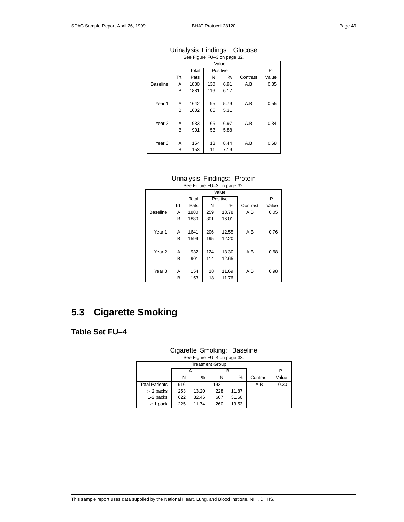### Urinalysis Findings: Glucose See Figure FU–3 on page 32.

|                   |     |       |     | Value    |          |       |
|-------------------|-----|-------|-----|----------|----------|-------|
|                   |     | Total |     | Positive |          | Р-    |
|                   | Trt | Pats  | N   | $\%$     | Contrast | Value |
| <b>Baseline</b>   | A   | 1880  | 130 | 6.91     | A.B      | 0.35  |
|                   | в   | 1881  | 116 | 6.17     |          |       |
|                   |     |       |     |          |          |       |
| Year 1            | A   | 1642  | 95  | 5.79     | A.B      | 0.55  |
|                   | В   | 1602  | 85  | 5.31     |          |       |
|                   |     |       |     |          |          |       |
| Year <sub>2</sub> | A   | 933   | 65  | 6.97     | A.B      | 0.34  |
|                   | в   | 901   | 53  | 5.88     |          |       |
|                   |     |       |     |          |          |       |
| Year <sub>3</sub> | А   | 154   | 13  | 8.44     | A.B      | 0.68  |
|                   | В   | 153   | 11  | 7.19     |          |       |

Urinalysis Findings: Protein

| See Figure FU-3 on page 32. |       |       |     |          |          |       |  |  |  |  |  |
|-----------------------------|-------|-------|-----|----------|----------|-------|--|--|--|--|--|
|                             | Value |       |     |          |          |       |  |  |  |  |  |
|                             |       | Total |     | Positive |          | Р-    |  |  |  |  |  |
|                             | Trt   | Pats  | Ν   | %        | Contrast | Value |  |  |  |  |  |
| <b>Baseline</b>             | A     | 1880  | 259 | 13.78    | A.B      | 0.05  |  |  |  |  |  |
|                             | B     | 1880  | 301 | 16.01    |          |       |  |  |  |  |  |
|                             |       |       |     |          |          |       |  |  |  |  |  |
| Year 1                      | A     | 1641  | 206 | 12.55    | A.B      | 0.76  |  |  |  |  |  |
|                             | B     | 1599  | 195 | 12.20    |          |       |  |  |  |  |  |
|                             |       |       |     |          |          |       |  |  |  |  |  |
| Year <sub>2</sub>           | A     | 932   | 124 | 13.30    | A.B      | 0.68  |  |  |  |  |  |
|                             | B     | 901   | 114 | 12.65    |          |       |  |  |  |  |  |
|                             |       |       |     |          |          |       |  |  |  |  |  |
| Year <sub>3</sub>           | A     | 154   | 18  | 11.69    | A.B      | 0.98  |  |  |  |  |  |
|                             | В     | 153   | 18  | 11.76    |          |       |  |  |  |  |  |

### **5.3 Cigarette Smoking**

### **Table Set FU–4**

### Cigarette Smoking: Baseline See Figure FU–4 on page 33.

| <b>Treatment Group</b> |      |       |      |       |          |       |  |  |  |  |
|------------------------|------|-------|------|-------|----------|-------|--|--|--|--|
|                        |      | А     |      | в     |          | P-    |  |  |  |  |
|                        | N    | %     | N    | %     | Contrast | Value |  |  |  |  |
| <b>Total Patients</b>  | 1916 |       | 1921 |       | A.B      | 0.30  |  |  |  |  |
| $> 2$ packs            | 253  | 13.20 | 228  | 11.87 |          |       |  |  |  |  |
| 1-2 packs              | 622  | 32.46 | 607  | 31.60 |          |       |  |  |  |  |
| $<$ 1 pack             | 225  | 11.74 | 260  | 13.53 |          |       |  |  |  |  |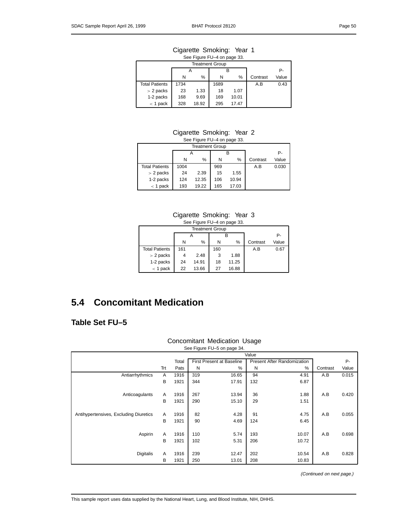#### Cigarette Smoking: Year 1 See Figure FU–4 on page 33.

| $\frac{1}{2}$ occ in igale in $\frac{1}{2}$ or $\frac{1}{2}$ or $\frac{1}{2}$ or $\frac{1}{2}$ |      |       |      |       |          |       |  |  |  |  |  |  |
|------------------------------------------------------------------------------------------------|------|-------|------|-------|----------|-------|--|--|--|--|--|--|
| <b>Treatment Group</b>                                                                         |      |       |      |       |          |       |  |  |  |  |  |  |
|                                                                                                |      | А     |      | Р-    |          |       |  |  |  |  |  |  |
|                                                                                                | N    | %     | N    | %     | Contrast | Value |  |  |  |  |  |  |
| <b>Total Patients</b>                                                                          | 1734 |       | 1689 |       | A.B      | 0.43  |  |  |  |  |  |  |
| $> 2$ packs                                                                                    | 23   | 1.33  | 18   | 1.07  |          |       |  |  |  |  |  |  |
| 1-2 packs                                                                                      | 168  | 9.69  | 169  | 10.01 |          |       |  |  |  |  |  |  |
| $<$ 1 pack                                                                                     | 328  | 18.92 | 295  | 17.47 |          |       |  |  |  |  |  |  |

#### Cigarette Smoking: Year 2 See Figure FU–4 on page 33.

| <b>Treatment Group</b> |      |       |     |       |          |       |  |  |  |  |  |
|------------------------|------|-------|-----|-------|----------|-------|--|--|--|--|--|
|                        |      |       |     |       |          | Р-    |  |  |  |  |  |
|                        | N    | %     | N   | %     | Contrast | Value |  |  |  |  |  |
| <b>Total Patients</b>  | 1004 |       | 969 |       | A.B      | 0.030 |  |  |  |  |  |
| $> 2$ packs            | 24   | 2.39  | 15  | 1.55  |          |       |  |  |  |  |  |
| 1-2 packs              | 124  | 12.35 | 106 | 10.94 |          |       |  |  |  |  |  |
| $<$ 1 pack             | 193  | 19.22 | 165 | 17.03 |          |       |  |  |  |  |  |

### Cigarette Smoking: Year 3

|  | See Figure FU-4 on page 33. |  |  |
|--|-----------------------------|--|--|
|--|-----------------------------|--|--|

| <b>Treatment Group</b> |     |       |     |       |          |       |  |  |  |  |  |
|------------------------|-----|-------|-----|-------|----------|-------|--|--|--|--|--|
|                        |     |       |     |       |          | Р-    |  |  |  |  |  |
|                        | N   | %     | N   | %     | Contrast | Value |  |  |  |  |  |
| <b>Total Patients</b>  | 161 |       | 160 |       | A.B      | 0.67  |  |  |  |  |  |
| $> 2$ packs            | 4   | 2.48  | 3   | 1.88  |          |       |  |  |  |  |  |
| 1-2 packs              | 24  | 14.91 | 18  | 11.25 |          |       |  |  |  |  |  |
| $<$ 1 pack             | 22  | 13.66 | 27  | 16.88 |          |       |  |  |  |  |  |

### **5.4 Concomitant Medication**

### **Table Set FU–5**

### Concomitant Medication Usage See Figure FU–5 on page 34.

|                                        |     | Value |     |                                  |                                    |       |          |       |  |  |  |
|----------------------------------------|-----|-------|-----|----------------------------------|------------------------------------|-------|----------|-------|--|--|--|
|                                        |     | Total |     | <b>First Present at Baseline</b> | <b>Present After Randomization</b> |       | P-       |       |  |  |  |
|                                        | Trt | Pats  | N   | %                                | N                                  | $\%$  | Contrast | Value |  |  |  |
| Antiarrhythmics                        | A   | 1916  | 319 | 16.65                            | 94                                 | 4.91  | A.B      | 0.015 |  |  |  |
|                                        | B   | 1921  | 344 | 17.91                            | 132                                | 6.87  |          |       |  |  |  |
|                                        |     |       |     |                                  |                                    |       |          |       |  |  |  |
| Anticoagulants                         | A   | 1916  | 267 | 13.94                            | 36                                 | 1.88  | A.B      | 0.420 |  |  |  |
|                                        | B   | 1921  | 290 | 15.10                            | 29                                 | 1.51  |          |       |  |  |  |
|                                        |     |       |     |                                  |                                    |       |          |       |  |  |  |
| Antihypertensives, Excluding Diuretics | A   | 1916  | 82  | 4.28                             | 91                                 | 4.75  | A.B      | 0.055 |  |  |  |
|                                        | B   | 1921  | 90  | 4.69                             | 124                                | 6.45  |          |       |  |  |  |
|                                        |     |       |     |                                  |                                    |       |          |       |  |  |  |
| Aspirin                                | Α   | 1916  | 110 | 5.74                             | 193                                | 10.07 | A.B      | 0.698 |  |  |  |
|                                        | B   | 1921  | 102 | 5.31                             | 206                                | 10.72 |          |       |  |  |  |
|                                        |     |       |     |                                  |                                    |       |          |       |  |  |  |
| <b>Digitalis</b>                       | A   | 1916  | 239 | 12.47                            | 202                                | 10.54 | A.B      | 0.828 |  |  |  |
|                                        | B   | 1921  | 250 | 13.01                            | 208                                | 10.83 |          |       |  |  |  |

(Continued on next page.)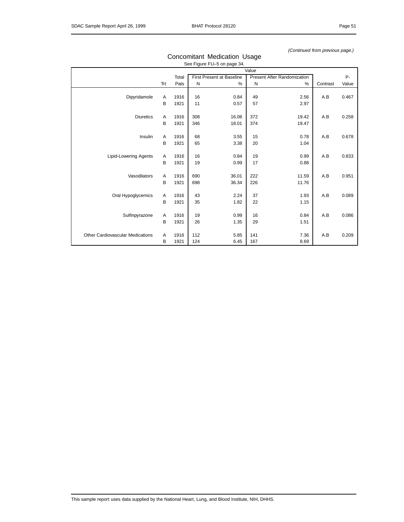#### (Continued from previous page.)

|                                  |     |       | Value |                                  |     |                             |          |       |  |  |  |
|----------------------------------|-----|-------|-------|----------------------------------|-----|-----------------------------|----------|-------|--|--|--|
|                                  |     | Total |       | <b>First Present at Baseline</b> |     | Present After Randomization |          | $P -$ |  |  |  |
|                                  | Trt | Pats  | N     | %                                | N   | %                           | Contrast | Value |  |  |  |
|                                  |     |       |       |                                  |     |                             |          |       |  |  |  |
| Dipyridamole                     | Α   | 1916  | 16    | 0.84                             | 49  | 2.56                        | A.B      | 0.467 |  |  |  |
|                                  | B   | 1921  | 11    | 0.57                             | 57  | 2.97                        |          |       |  |  |  |
|                                  |     |       |       |                                  |     |                             |          |       |  |  |  |
| <b>Diuretics</b>                 | Α   | 1916  | 308   | 16.08                            | 372 | 19.42                       | A.B      | 0.258 |  |  |  |
|                                  | B   | 1921  | 346   | 18.01                            | 374 | 19.47                       |          |       |  |  |  |
|                                  |     |       |       |                                  |     |                             |          |       |  |  |  |
| Insulin                          | A   | 1916  | 68    | 3.55                             | 15  | 0.78                        | A.B      | 0.678 |  |  |  |
|                                  | B   | 1921  | 65    | 3.38                             | 20  | 1.04                        |          |       |  |  |  |
|                                  |     |       |       |                                  |     |                             |          |       |  |  |  |
| <b>Lipid-Lowering Agents</b>     | Α   | 1916  | 16    | 0.84                             | 19  | 0.99                        | A.B      | 0.833 |  |  |  |
|                                  | B   | 1921  | 19    | 0.99                             | 17  | 0.88                        |          |       |  |  |  |
|                                  |     |       |       |                                  |     |                             |          |       |  |  |  |
| Vasodilators                     | Α   | 1916  | 690   | 36.01                            | 222 | 11.59                       | A.B      | 0.951 |  |  |  |
|                                  | B   | 1921  | 698   | 36.34                            | 226 | 11.76                       |          |       |  |  |  |
|                                  |     |       |       |                                  |     |                             |          |       |  |  |  |
| Oral Hypoglycemics               | Α   | 1916  | 43    | 2.24                             | 37  | 1.93                        | A.B      | 0.089 |  |  |  |
|                                  | B   | 1921  | 35    | 1.82                             | 22  | 1.15                        |          |       |  |  |  |
|                                  |     |       |       |                                  |     |                             |          |       |  |  |  |
| Sulfinpyrazone                   | Α   | 1916  | 19    | 0.99                             | 16  | 0.84                        | A.B      | 0.086 |  |  |  |
|                                  | B   | 1921  | 26    | 1.35                             | 29  | 1.51                        |          |       |  |  |  |
|                                  |     |       |       |                                  |     |                             |          |       |  |  |  |
| Other Cardiovascular Medications | A   | 1916  | 112   | 5.85                             | 141 | 7.36                        | A.B      | 0.209 |  |  |  |
|                                  | B   | 1921  | 124   | 6.45                             | 167 | 8.69                        |          |       |  |  |  |

#### Concomitant Medication Usage See Figure FU–5 on page 34.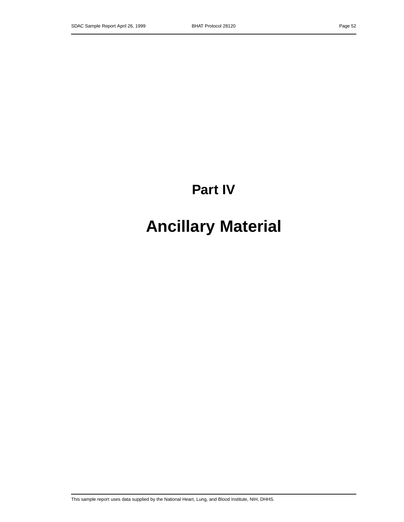# **Part IV**

# **Ancillary Material**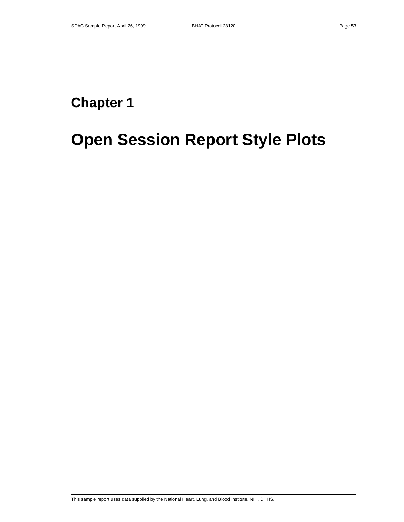# **Chapter 1**

# **Open Session Report Style Plots**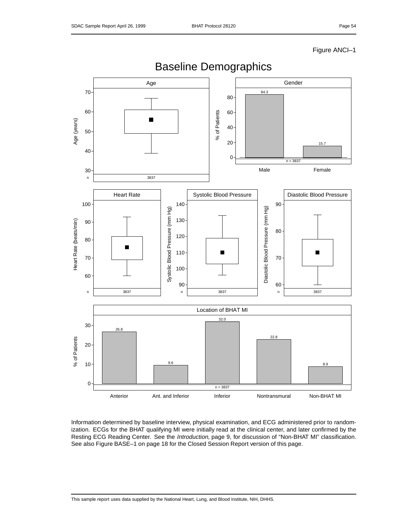Figure ANCI–1



Information determined by baseline interview, physical examination, and ECG administered prior to randomization. ECGs for the BHAT qualifying MI were initially read at the clinical center, and later confirmed by the Resting ECG Reading Center. See the Introduction, page 9, for discussion of "Non-BHAT MI" classification. See also Figure BASE–1 on page 18 for the Closed Session Report version of this page.

## Baseline Demographics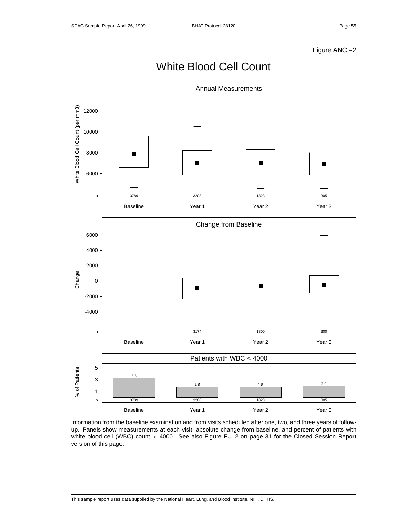Figure ANCI–2



White Blood Cell Count

Information from the baseline examination and from visits scheduled after one, two, and three years of followup. Panels show measurements at each visit, absolute change from baseline, and percent of patients with white blood cell (WBC) count < 4000. See also Figure FU–2 on page 31 for the Closed Session Report version of this page.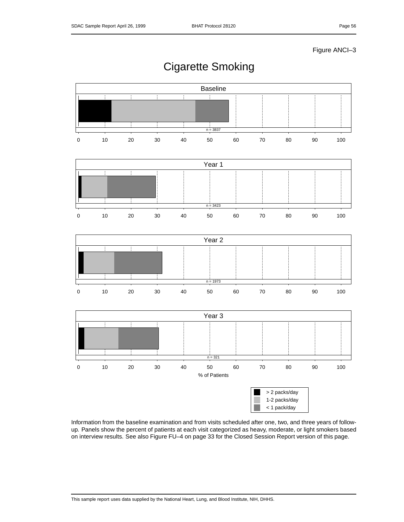Figure ANCI–3



Cigarette Smoking

Information from the baseline examination and from visits scheduled after one, two, and three years of followup. Panels show the percent of patients at each visit categorized as heavy, moderate, or light smokers based on interview results. See also Figure FU–4 on page 33 for the Closed Session Report version of this page.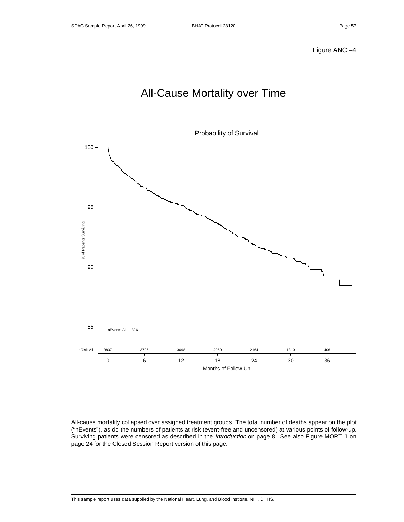## All-Cause Mortality over Time



All-cause mortality collapsed over assigned treatment groups. The total number of deaths appear on the plot ("nEvents"), as do the numbers of patients at risk (event-free and uncensored) at various points of follow-up. Surviving patients were censored as described in the Introduction on page 8. See also Figure MORT-1 on page 24 for the Closed Session Report version of this page.